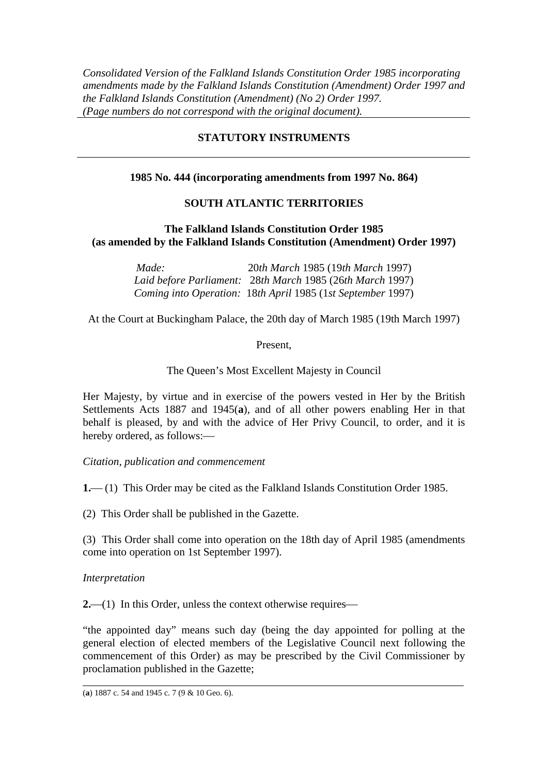*Consolidated Version of the Falkland Islands Constitution Order 1985 incorporating amendments made by the Falkland Islands Constitution (Amendment) Order 1997 and the Falkland Islands Constitution (Amendment) (No 2) Order 1997. (Page numbers do not correspond with the original document).* 

### **STATUTORY INSTRUMENTS**

### **1985 No. 444 (incorporating amendments from 1997 No. 864)**

#### **SOUTH ATLANTIC TERRITORIES**

**The Falkland Islands Constitution Order 1985 (as amended by the Falkland Islands Constitution (Amendment) Order 1997)** 

> *Made:* 20*th March* 1985 (19*th March* 1997) *Laid before Parliament:* 28*th March* 1985 (26*th March* 1997) *Coming into Operation:* 18*th April* 1985 (1*st September* 1997)

At the Court at Buckingham Palace, the 20th day of March 1985 (19th March 1997)

Present,

#### The Queen's Most Excellent Majesty in Council

Her Majesty, by virtue and in exercise of the powers vested in Her by the British Settlements Acts 1887 and 1945(**a**), and of all other powers enabling Her in that behalf is pleased, by and with the advice of Her Privy Council, to order, and it is hereby ordered, as follows:—

*Citation, publication and commencement* 

**1.** (1) This Order may be cited as the Falkland Islands Constitution Order 1985.

(2) This Order shall be published in the Gazette.

(3) This Order shall come into operation on the 18th day of April 1985 (amendments come into operation on 1st September 1997).

#### *Interpretation*

**2.** $\left(\frac{1}{1}\right)$  In this Order, unless the context otherwise requires $\leftarrow$ 

"the appointed day" means such day (being the day appointed for polling at the general election of elected members of the Legislative Council next following the commencement of this Order) as may be prescribed by the Civil Commissioner by proclamation published in the Gazette;

\_\_\_\_\_\_\_\_\_\_\_\_\_\_\_\_\_\_\_\_\_\_\_\_\_\_\_\_\_\_\_\_\_\_\_\_\_\_\_\_\_\_\_\_\_\_\_\_\_\_\_\_\_\_\_\_\_\_\_\_\_\_\_\_\_\_\_\_\_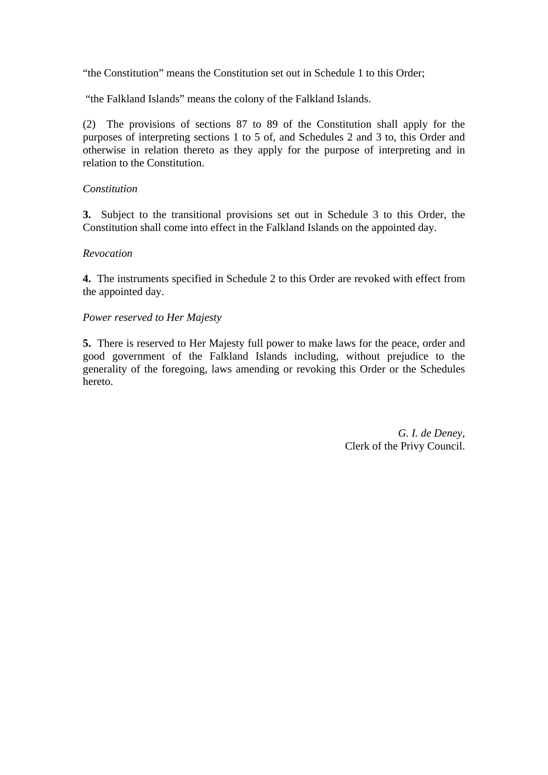"the Constitution" means the Constitution set out in Schedule 1 to this Order;

"the Falkland Islands" means the colony of the Falkland Islands.

(2) The provisions of sections 87 to 89 of the Constitution shall apply for the purposes of interpreting sections 1 to 5 of, and Schedules 2 and 3 to, this Order and otherwise in relation thereto as they apply for the purpose of interpreting and in relation to the Constitution.

#### *Constitution*

**3.** Subject to the transitional provisions set out in Schedule 3 to this Order, the Constitution shall come into effect in the Falkland Islands on the appointed day.

### *Revocation*

**4.** The instruments specified in Schedule 2 to this Order are revoked with effect from the appointed day.

### *Power reserved to Her Majesty*

**5.** There is reserved to Her Majesty full power to make laws for the peace, order and good government of the Falkland Islands including, without prejudice to the generality of the foregoing, laws amending or revoking this Order or the Schedules hereto.

> *G. I. de Deney,*  Clerk of the Privy Council.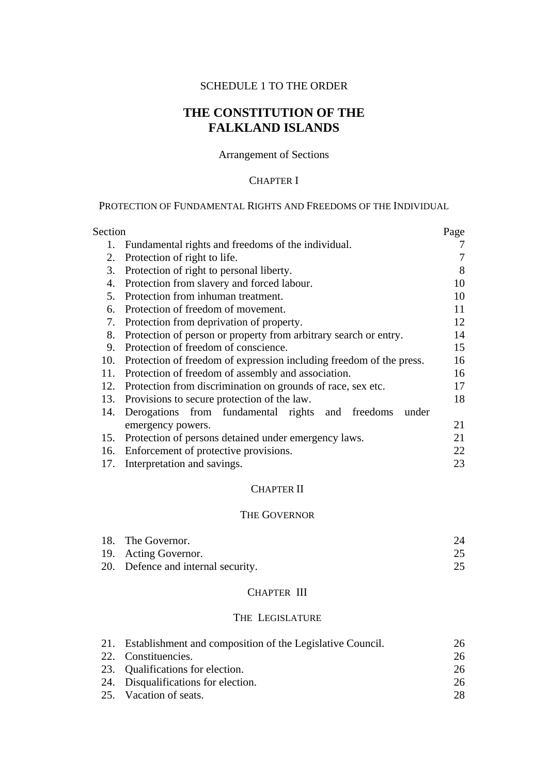### SCHEDULE 1 TO THE ORDER

# **THE CONSTITUTION OF THE FALKLAND ISLANDS**

## Arrangement of Sections

## CHAPTER I

#### PROTECTION OF FUNDAMENTAL RIGHTS AND FREEDOMS OF THE INDIVIDUAL

| Section |                                                                     | Page |
|---------|---------------------------------------------------------------------|------|
| 1.      | Fundamental rights and freedoms of the individual.                  |      |
| 2.      | Protection of right to life.                                        | 7    |
| 3.      | Protection of right to personal liberty.                            | 8    |
| 4.      | Protection from slavery and forced labour.                          | 10   |
| 5.      | Protection from inhuman treatment.                                  | 10   |
| 6.      | Protection of freedom of movement.                                  | 11   |
| 7.      | Protection from deprivation of property.                            | 12   |
| 8.      | Protection of person or property from arbitrary search or entry.    | 14   |
| 9.      | Protection of freedom of conscience.                                | 15   |
| 10.     | Protection of freedom of expression including freedom of the press. | 16   |
| 11.     | Protection of freedom of assembly and association.                  | 16   |
| 12.     | Protection from discrimination on grounds of race, sex etc.         | 17   |
| 13.     | Provisions to secure protection of the law.                         | 18   |
| 14.     | Derogations from fundamental rights and<br>freedoms<br>under        |      |
|         | emergency powers.                                                   | 21   |
| 15.     | Protection of persons detained under emergency laws.                | 21   |
| 16.     | Enforcement of protective provisions.                               | 22   |
| 17.     | Interpretation and savings.                                         | 23   |

## CHAPTER II

### THE GOVERNOR

| 18. The Governor.                  | 24 |
|------------------------------------|----|
| 19. Acting Governor.               |    |
| 20. Defence and internal security. | 25 |

## CHAPTER III

#### THE LEGISLATURE

| 21. Establishment and composition of the Legislative Council. | 26 |
|---------------------------------------------------------------|----|
| 22. Constituencies.                                           | 26 |
| 23. Qualifications for election.                              | 26 |
| 24. Disqualifications for election.                           | 26 |
| 25. Vacation of seats.                                        | 28 |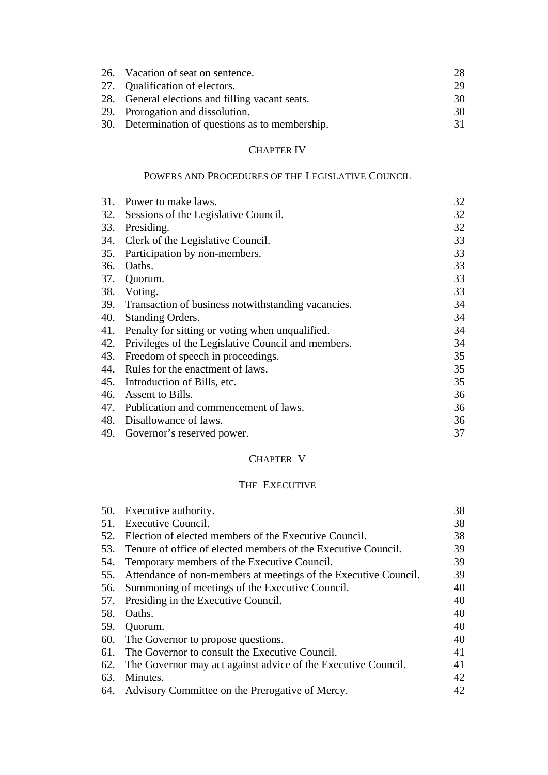| 26. Vacation of seat on sentence.                | 28 |
|--------------------------------------------------|----|
| 27. Qualification of electors.                   | 29 |
| 28. General elections and filling vacant seats.  | 30 |
| 29. Prorogation and dissolution.                 | 30 |
| 30. Determination of questions as to membership. | 31 |

# CHAPTER IV

#### POWERS AND PROCEDURES OF THE LEGISLATIVE COUNCIL

|     | 31. Power to make laws.                                  | 32 |
|-----|----------------------------------------------------------|----|
| 32. | Sessions of the Legislative Council.                     | 32 |
| 33. | Presiding.                                               | 32 |
| 34. | Clerk of the Legislative Council.                        | 33 |
| 35. | Participation by non-members.                            | 33 |
| 36. | Oaths.                                                   | 33 |
| 37. | Quorum.                                                  | 33 |
| 38. | Voting.                                                  | 33 |
|     | 39. Transaction of business not with standing vacancies. | 34 |
| 40. | <b>Standing Orders.</b>                                  | 34 |
|     | 41. Penalty for sitting or voting when unqualified.      | 34 |
| 42. | Privileges of the Legislative Council and members.       | 34 |
| 43. | Freedom of speech in proceedings.                        | 35 |
| 44. | Rules for the enactment of laws.                         | 35 |
|     | 45. Introduction of Bills, etc.                          | 35 |
| 46. | Assent to Bills.                                         | 36 |
|     | 47. Publication and commencement of laws.                | 36 |
|     | 48. Disallowance of laws.                                | 36 |
|     | 49. Governor's reserved power.                           | 37 |
|     |                                                          |    |

### CHAPTER V

### THE EXECUTIVE

| 50. | Executive authority.                                            | 38 |
|-----|-----------------------------------------------------------------|----|
| 51. | Executive Council.                                              | 38 |
| 52. | Election of elected members of the Executive Council.           | 38 |
| 53. | Tenure of office of elected members of the Executive Council.   | 39 |
| 54. | Temporary members of the Executive Council.                     | 39 |
| 55. | Attendance of non-members at meetings of the Executive Council. | 39 |
| 56. | Summoning of meetings of the Executive Council.                 | 40 |
| 57. | Presiding in the Executive Council.                             | 40 |
| 58. | Oaths.                                                          | 40 |
| 59. | Quorum.                                                         | 40 |
| 60. | The Governor to propose questions.                              | 40 |
| 61. | The Governor to consult the Executive Council.                  | 41 |
| 62. | The Governor may act against advice of the Executive Council.   | 41 |
| 63. | Minutes.                                                        | 42 |
|     | 64. Advisory Committee on the Prerogative of Mercy.             | 42 |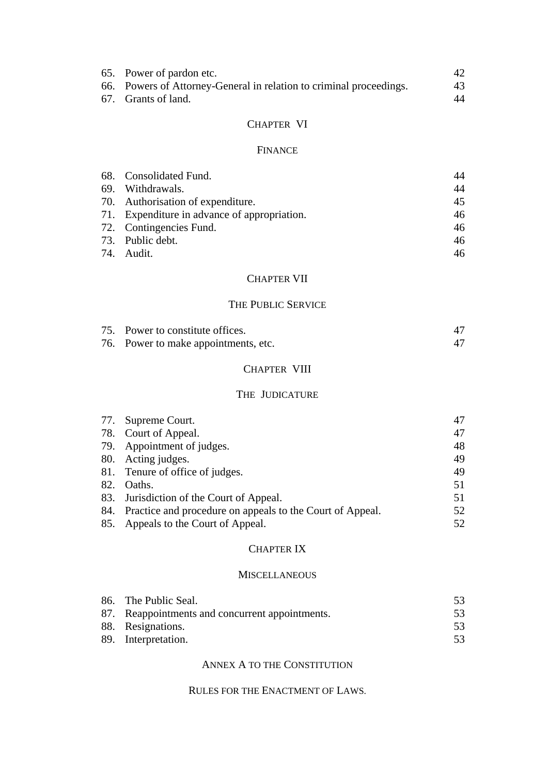| 65. Power of pardon etc.                                            |    |
|---------------------------------------------------------------------|----|
| 66. Powers of Attorney-General in relation to criminal proceedings. | 43 |
| 67. Grants of land.                                                 | 44 |

#### CHAPTER VI

#### FINANCE

| 68. Consolidated Fund.                       | 44 |
|----------------------------------------------|----|
| 69. Withdrawals.                             | 44 |
| 70. Authorisation of expenditure.            | 45 |
| 71. Expenditure in advance of appropriation. | 46 |
| 72. Contingencies Fund.                      | 46 |
| 73. Public debt.                             | 46 |
| 74. Audit.                                   | 46 |

### CHAPTER VII

### THE PUBLIC SERVICE

| 75. Power to constitute offices.     |  |
|--------------------------------------|--|
| 76. Power to make appointments, etc. |  |

## CHAPTER VIII

#### THE JUDICATURE

| 77. Supreme Court.                                            | 47 |
|---------------------------------------------------------------|----|
| 78. Court of Appeal.                                          | 47 |
| 79. Appointment of judges.                                    | 48 |
| 80. Acting judges.                                            | 49 |
| 81. Tenure of office of judges.                               | 49 |
| 82. Oaths.                                                    | 51 |
| 83. Jurisdiction of the Court of Appeal.                      | 51 |
| 84. Practice and procedure on appeals to the Court of Appeal. | 52 |
| 85. Appeals to the Court of Appeal.                           | 52 |

#### CHAPTER IX

#### **MISCELLANEOUS**

| 86. The Public Seal.                            |    |
|-------------------------------------------------|----|
| 87. Reappointments and concurrent appointments. | 53 |
| 88. Resignations.                               | 53 |
| 89. Interpretation.                             | 53 |
|                                                 |    |

### ANNEX A TO THE CONSTITUTION

#### RULES FOR THE ENACTMENT OF LAWS.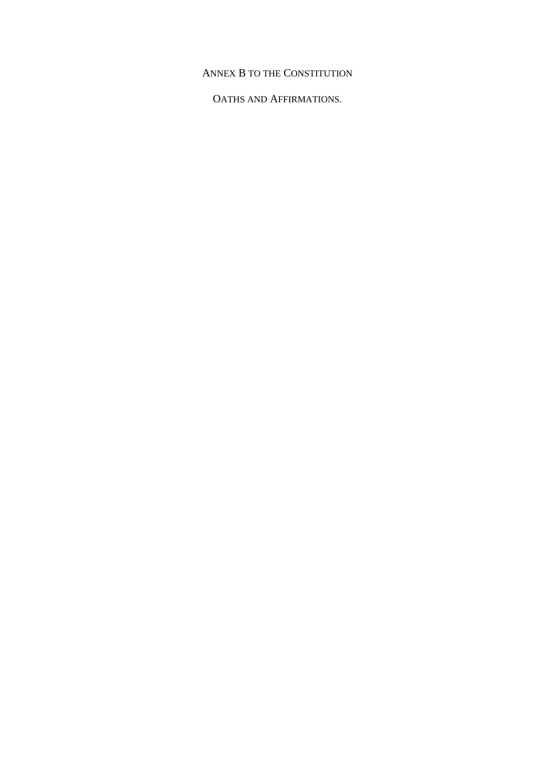#### ANNEX B TO THE CONSTITUTION

OATHS AND AFFIRMATIONS.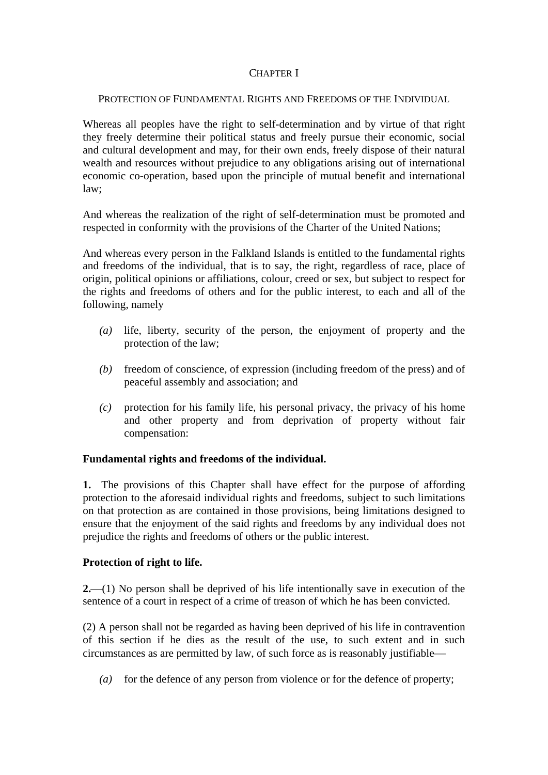### CHAPTER I

#### PROTECTION OF FUNDAMENTAL RIGHTS AND FREEDOMS OF THE INDIVIDUAL

Whereas all peoples have the right to self-determination and by virtue of that right they freely determine their political status and freely pursue their economic, social and cultural development and may, for their own ends, freely dispose of their natural wealth and resources without prejudice to any obligations arising out of international economic co-operation, based upon the principle of mutual benefit and international law;

And whereas the realization of the right of self-determination must be promoted and respected in conformity with the provisions of the Charter of the United Nations;

And whereas every person in the Falkland Islands is entitled to the fundamental rights and freedoms of the individual, that is to say, the right, regardless of race, place of origin, political opinions or affiliations, colour, creed or sex, but subject to respect for the rights and freedoms of others and for the public interest, to each and all of the following, namely

- *(a)* life, liberty, security of the person, the enjoyment of property and the protection of the law;
- *(b)* freedom of conscience, of expression (including freedom of the press) and of peaceful assembly and association; and
- *(c)* protection for his family life, his personal privacy, the privacy of his home and other property and from deprivation of property without fair compensation:

#### **Fundamental rights and freedoms of the individual.**

**1.** The provisions of this Chapter shall have effect for the purpose of affording protection to the aforesaid individual rights and freedoms, subject to such limitations on that protection as are contained in those provisions, being limitations designed to ensure that the enjoyment of the said rights and freedoms by any individual does not prejudice the rights and freedoms of others or the public interest.

#### **Protection of right to life.**

**2.**<sup> $(1)$ </sup> No person shall be deprived of his life intentionally save in execution of the sentence of a court in respect of a crime of treason of which he has been convicted.

(2) A person shall not be regarded as having been deprived of his life in contravention of this section if he dies as the result of the use, to such extent and in such circumstances as are permitted by law, of such force as is reasonably justifiable—

*(a)* for the defence of any person from violence or for the defence of property;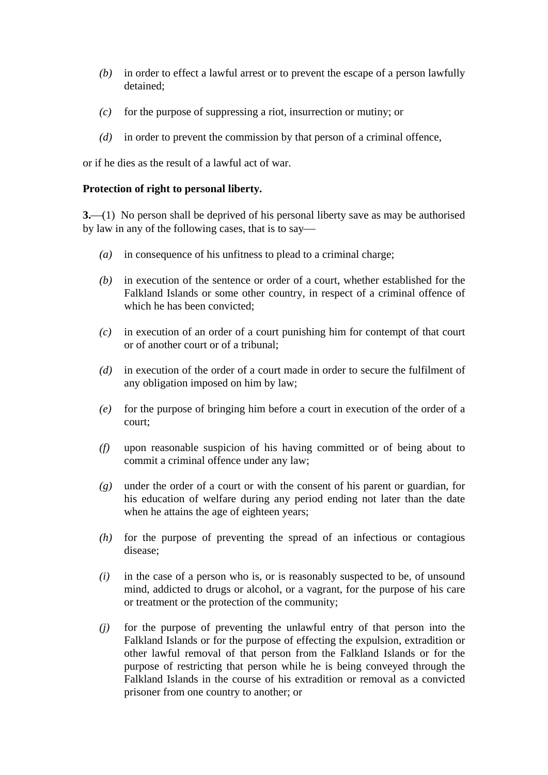- *(b)* in order to effect a lawful arrest or to prevent the escape of a person lawfully detained;
- *(c)* for the purpose of suppressing a riot, insurrection or mutiny; or
- *(d)* in order to prevent the commission by that person of a criminal offence,

or if he dies as the result of a lawful act of war.

#### **Protection of right to personal liberty.**

**3.** (1) No person shall be deprived of his personal liberty save as may be authorised by law in any of the following cases, that is to say—

- *(a)* in consequence of his unfitness to plead to a criminal charge;
- *(b)* in execution of the sentence or order of a court, whether established for the Falkland Islands or some other country, in respect of a criminal offence of which he has been convicted;
- *(c)* in execution of an order of a court punishing him for contempt of that court or of another court or of a tribunal;
- *(d)* in execution of the order of a court made in order to secure the fulfilment of any obligation imposed on him by law;
- *(e)* for the purpose of bringing him before a court in execution of the order of a court;
- *(f)* upon reasonable suspicion of his having committed or of being about to commit a criminal offence under any law;
- *(g)* under the order of a court or with the consent of his parent or guardian, for his education of welfare during any period ending not later than the date when he attains the age of eighteen years;
- *(h)* for the purpose of preventing the spread of an infectious or contagious disease;
- *(i)* in the case of a person who is, or is reasonably suspected to be, of unsound mind, addicted to drugs or alcohol, or a vagrant, for the purpose of his care or treatment or the protection of the community;
- *(j)* for the purpose of preventing the unlawful entry of that person into the Falkland Islands or for the purpose of effecting the expulsion, extradition or other lawful removal of that person from the Falkland Islands or for the purpose of restricting that person while he is being conveyed through the Falkland Islands in the course of his extradition or removal as a convicted prisoner from one country to another; or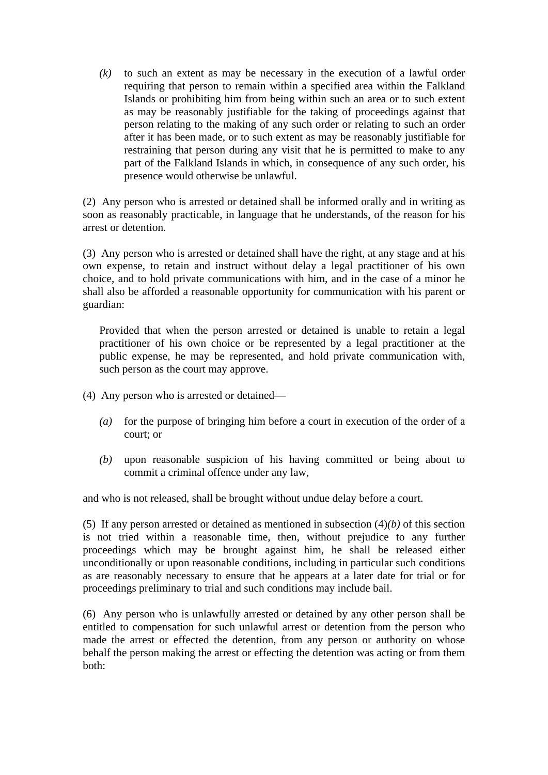*(k)* to such an extent as may be necessary in the execution of a lawful order requiring that person to remain within a specified area within the Falkland Islands or prohibiting him from being within such an area or to such extent as may be reasonably justifiable for the taking of proceedings against that person relating to the making of any such order or relating to such an order after it has been made, or to such extent as may be reasonably justifiable for restraining that person during any visit that he is permitted to make to any part of the Falkland Islands in which, in consequence of any such order, his presence would otherwise be unlawful.

(2) Any person who is arrested or detained shall be informed orally and in writing as soon as reasonably practicable, in language that he understands, of the reason for his arrest or detention.

(3) Any person who is arrested or detained shall have the right, at any stage and at his own expense, to retain and instruct without delay a legal practitioner of his own choice, and to hold private communications with him, and in the case of a minor he shall also be afforded a reasonable opportunity for communication with his parent or guardian:

Provided that when the person arrested or detained is unable to retain a legal practitioner of his own choice or be represented by a legal practitioner at the public expense, he may be represented, and hold private communication with, such person as the court may approve.

- (4) Any person who is arrested or detained—
	- *(a)* for the purpose of bringing him before a court in execution of the order of a court; or
	- *(b)* upon reasonable suspicion of his having committed or being about to commit a criminal offence under any law,

and who is not released, shall be brought without undue delay before a court.

(5) If any person arrested or detained as mentioned in subsection (4)*(b)* of this section is not tried within a reasonable time, then, without prejudice to any further proceedings which may be brought against him, he shall be released either unconditionally or upon reasonable conditions, including in particular such conditions as are reasonably necessary to ensure that he appears at a later date for trial or for proceedings preliminary to trial and such conditions may include bail.

(6) Any person who is unlawfully arrested or detained by any other person shall be entitled to compensation for such unlawful arrest or detention from the person who made the arrest or effected the detention, from any person or authority on whose behalf the person making the arrest or effecting the detention was acting or from them both: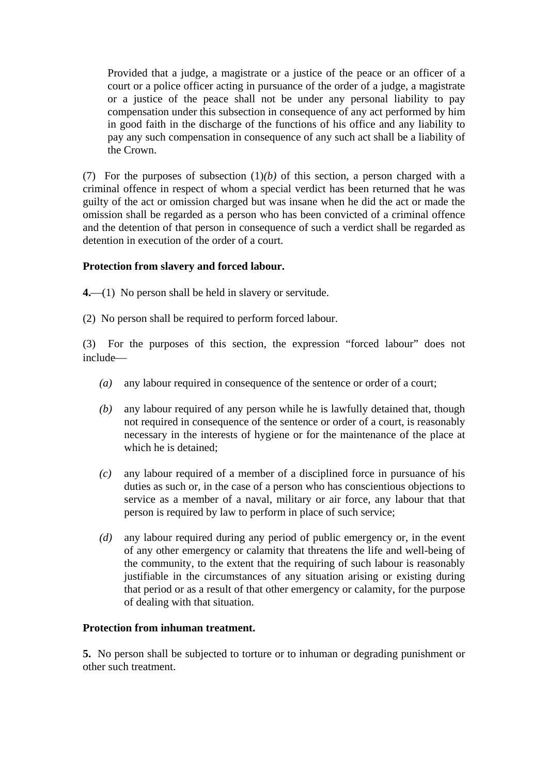Provided that a judge, a magistrate or a justice of the peace or an officer of a court or a police officer acting in pursuance of the order of a judge, a magistrate or a justice of the peace shall not be under any personal liability to pay compensation under this subsection in consequence of any act performed by him in good faith in the discharge of the functions of his office and any liability to pay any such compensation in consequence of any such act shall be a liability of the Crown.

(7) For the purposes of subsection (1)*(b)* of this section, a person charged with a criminal offence in respect of whom a special verdict has been returned that he was guilty of the act or omission charged but was insane when he did the act or made the omission shall be regarded as a person who has been convicted of a criminal offence and the detention of that person in consequence of such a verdict shall be regarded as detention in execution of the order of a court.

### **Protection from slavery and forced labour.**

**4.** (1) No person shall be held in slavery or servitude.

(2) No person shall be required to perform forced labour.

(3) For the purposes of this section, the expression "forced labour" does not include—

- *(a)* any labour required in consequence of the sentence or order of a court;
- *(b)* any labour required of any person while he is lawfully detained that, though not required in consequence of the sentence or order of a court, is reasonably necessary in the interests of hygiene or for the maintenance of the place at which he is detained;
- *(c)* any labour required of a member of a disciplined force in pursuance of his duties as such or, in the case of a person who has conscientious objections to service as a member of a naval, military or air force, any labour that that person is required by law to perform in place of such service;
- *(d)* any labour required during any period of public emergency or, in the event of any other emergency or calamity that threatens the life and well-being of the community, to the extent that the requiring of such labour is reasonably justifiable in the circumstances of any situation arising or existing during that period or as a result of that other emergency or calamity, for the purpose of dealing with that situation.

#### **Protection from inhuman treatment.**

**5.** No person shall be subjected to torture or to inhuman or degrading punishment or other such treatment.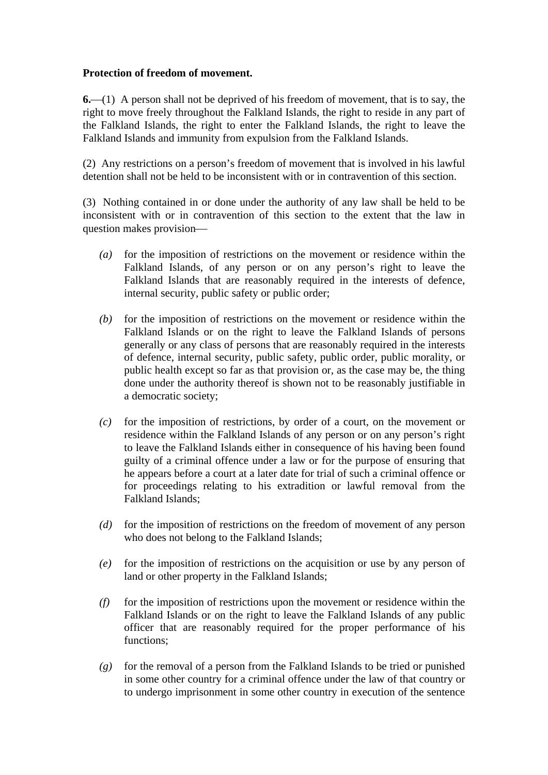### **Protection of freedom of movement.**

**6.** (1) A person shall not be deprived of his freedom of movement, that is to say, the right to move freely throughout the Falkland Islands, the right to reside in any part of the Falkland Islands, the right to enter the Falkland Islands, the right to leave the Falkland Islands and immunity from expulsion from the Falkland Islands.

(2) Any restrictions on a person's freedom of movement that is involved in his lawful detention shall not be held to be inconsistent with or in contravention of this section.

(3) Nothing contained in or done under the authority of any law shall be held to be inconsistent with or in contravention of this section to the extent that the law in question makes provision—

- *(a)* for the imposition of restrictions on the movement or residence within the Falkland Islands, of any person or on any person's right to leave the Falkland Islands that are reasonably required in the interests of defence, internal security, public safety or public order;
- *(b)* for the imposition of restrictions on the movement or residence within the Falkland Islands or on the right to leave the Falkland Islands of persons generally or any class of persons that are reasonably required in the interests of defence, internal security, public safety, public order, public morality, or public health except so far as that provision or, as the case may be, the thing done under the authority thereof is shown not to be reasonably justifiable in a democratic society;
- *(c)* for the imposition of restrictions, by order of a court, on the movement or residence within the Falkland Islands of any person or on any person's right to leave the Falkland Islands either in consequence of his having been found guilty of a criminal offence under a law or for the purpose of ensuring that he appears before a court at a later date for trial of such a criminal offence or for proceedings relating to his extradition or lawful removal from the Falkland Islands;
- *(d)* for the imposition of restrictions on the freedom of movement of any person who does not belong to the Falkland Islands;
- *(e)* for the imposition of restrictions on the acquisition or use by any person of land or other property in the Falkland Islands;
- *(f)* for the imposition of restrictions upon the movement or residence within the Falkland Islands or on the right to leave the Falkland Islands of any public officer that are reasonably required for the proper performance of his functions;
- *(g)* for the removal of a person from the Falkland Islands to be tried or punished in some other country for a criminal offence under the law of that country or to undergo imprisonment in some other country in execution of the sentence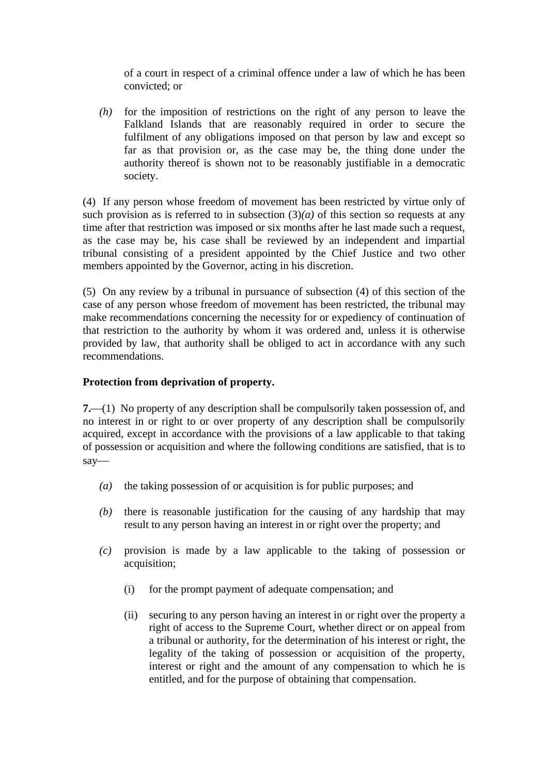of a court in respect of a criminal offence under a law of which he has been convicted; or

*(h)* for the imposition of restrictions on the right of any person to leave the Falkland Islands that are reasonably required in order to secure the fulfilment of any obligations imposed on that person by law and except so far as that provision or, as the case may be, the thing done under the authority thereof is shown not to be reasonably justifiable in a democratic society.

(4) If any person whose freedom of movement has been restricted by virtue only of such provision as is referred to in subsection  $(3)(a)$  of this section so requests at any time after that restriction was imposed or six months after he last made such a request, as the case may be, his case shall be reviewed by an independent and impartial tribunal consisting of a president appointed by the Chief Justice and two other members appointed by the Governor, acting in his discretion.

(5) On any review by a tribunal in pursuance of subsection (4) of this section of the case of any person whose freedom of movement has been restricted, the tribunal may make recommendations concerning the necessity for or expediency of continuation of that restriction to the authority by whom it was ordered and, unless it is otherwise provided by law, that authority shall be obliged to act in accordance with any such recommendations.

## **Protection from deprivation of property.**

**7.** (1) No property of any description shall be compulsorily taken possession of, and no interest in or right to or over property of any description shall be compulsorily acquired, except in accordance with the provisions of a law applicable to that taking of possession or acquisition and where the following conditions are satisfied, that is to say—

- *(a)* the taking possession of or acquisition is for public purposes; and
- *(b)* there is reasonable justification for the causing of any hardship that may result to any person having an interest in or right over the property; and
- *(c)* provision is made by a law applicable to the taking of possession or acquisition;
	- (i) for the prompt payment of adequate compensation; and
	- (ii) securing to any person having an interest in or right over the property a right of access to the Supreme Court, whether direct or on appeal from a tribunal or authority, for the determination of his interest or right, the legality of the taking of possession or acquisition of the property, interest or right and the amount of any compensation to which he is entitled, and for the purpose of obtaining that compensation.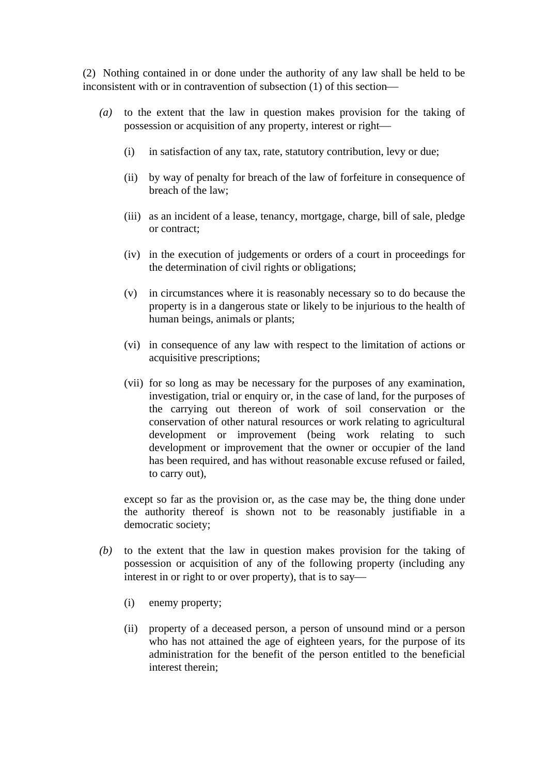(2) Nothing contained in or done under the authority of any law shall be held to be inconsistent with or in contravention of subsection  $(1)$  of this section—

- *(a)* to the extent that the law in question makes provision for the taking of possession or acquisition of any property, interest or right—
	- (i) in satisfaction of any tax, rate, statutory contribution, levy or due;
	- (ii) by way of penalty for breach of the law of forfeiture in consequence of breach of the law;
	- (iii) as an incident of a lease, tenancy, mortgage, charge, bill of sale, pledge or contract;
	- (iv) in the execution of judgements or orders of a court in proceedings for the determination of civil rights or obligations;
	- (v) in circumstances where it is reasonably necessary so to do because the property is in a dangerous state or likely to be injurious to the health of human beings, animals or plants;
	- (vi) in consequence of any law with respect to the limitation of actions or acquisitive prescriptions;
	- (vii) for so long as may be necessary for the purposes of any examination, investigation, trial or enquiry or, in the case of land, for the purposes of the carrying out thereon of work of soil conservation or the conservation of other natural resources or work relating to agricultural development or improvement (being work relating to such development or improvement that the owner or occupier of the land has been required, and has without reasonable excuse refused or failed, to carry out),

except so far as the provision or, as the case may be, the thing done under the authority thereof is shown not to be reasonably justifiable in a democratic society;

- *(b)* to the extent that the law in question makes provision for the taking of possession or acquisition of any of the following property (including any interest in or right to or over property), that is to say—
	- (i) enemy property;
	- (ii) property of a deceased person, a person of unsound mind or a person who has not attained the age of eighteen years, for the purpose of its administration for the benefit of the person entitled to the beneficial interest therein;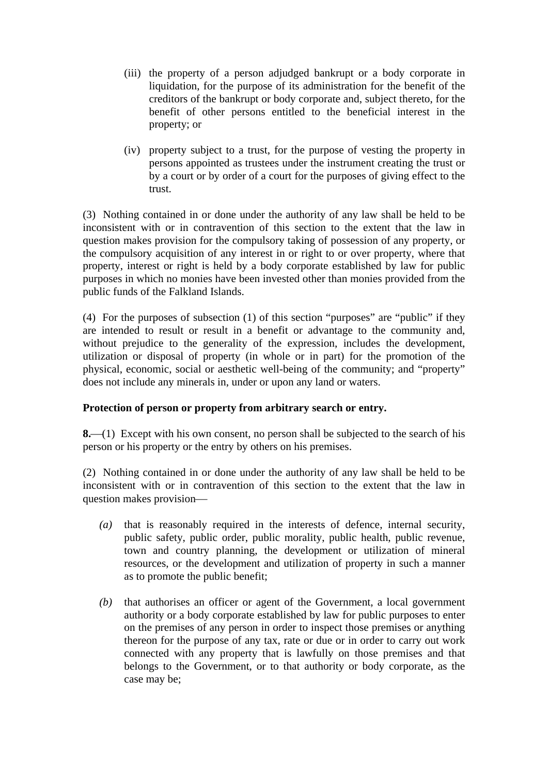- (iii) the property of a person adjudged bankrupt or a body corporate in liquidation, for the purpose of its administration for the benefit of the creditors of the bankrupt or body corporate and, subject thereto, for the benefit of other persons entitled to the beneficial interest in the property; or
- (iv) property subject to a trust, for the purpose of vesting the property in persons appointed as trustees under the instrument creating the trust or by a court or by order of a court for the purposes of giving effect to the trust.

(3) Nothing contained in or done under the authority of any law shall be held to be inconsistent with or in contravention of this section to the extent that the law in question makes provision for the compulsory taking of possession of any property, or the compulsory acquisition of any interest in or right to or over property, where that property, interest or right is held by a body corporate established by law for public purposes in which no monies have been invested other than monies provided from the public funds of the Falkland Islands.

(4) For the purposes of subsection (1) of this section "purposes" are "public" if they are intended to result or result in a benefit or advantage to the community and, without prejudice to the generality of the expression, includes the development, utilization or disposal of property (in whole or in part) for the promotion of the physical, economic, social or aesthetic well-being of the community; and "property" does not include any minerals in, under or upon any land or waters.

## **Protection of person or property from arbitrary search or entry.**

**8.**<sup> $(1)$ </sup> Except with his own consent, no person shall be subjected to the search of his person or his property or the entry by others on his premises.

(2) Nothing contained in or done under the authority of any law shall be held to be inconsistent with or in contravention of this section to the extent that the law in question makes provision-

- *(a)* that is reasonably required in the interests of defence, internal security, public safety, public order, public morality, public health, public revenue, town and country planning, the development or utilization of mineral resources, or the development and utilization of property in such a manner as to promote the public benefit;
- *(b)* that authorises an officer or agent of the Government, a local government authority or a body corporate established by law for public purposes to enter on the premises of any person in order to inspect those premises or anything thereon for the purpose of any tax, rate or due or in order to carry out work connected with any property that is lawfully on those premises and that belongs to the Government, or to that authority or body corporate, as the case may be;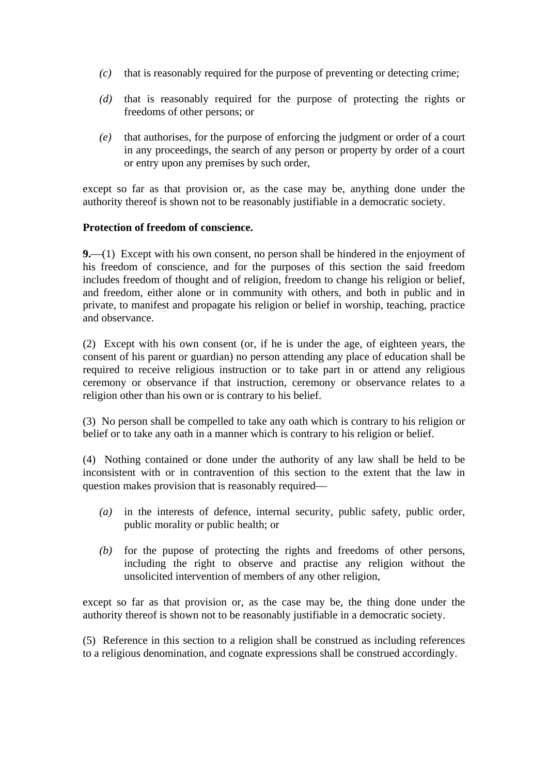- *(c)* that is reasonably required for the purpose of preventing or detecting crime;
- *(d)* that is reasonably required for the purpose of protecting the rights or freedoms of other persons; or
- *(e)* that authorises, for the purpose of enforcing the judgment or order of a court in any proceedings, the search of any person or property by order of a court or entry upon any premises by such order,

except so far as that provision or, as the case may be, anything done under the authority thereof is shown not to be reasonably justifiable in a democratic society.

#### **Protection of freedom of conscience.**

**9.** (1) Except with his own consent, no person shall be hindered in the enjoyment of his freedom of conscience, and for the purposes of this section the said freedom includes freedom of thought and of religion, freedom to change his religion or belief, and freedom, either alone or in community with others, and both in public and in private, to manifest and propagate his religion or belief in worship, teaching, practice and observance.

(2) Except with his own consent (or, if he is under the age, of eighteen years, the consent of his parent or guardian) no person attending any place of education shall be required to receive religious instruction or to take part in or attend any religious ceremony or observance if that instruction, ceremony or observance relates to a religion other than his own or is contrary to his belief.

(3) No person shall be compelled to take any oath which is contrary to his religion or belief or to take any oath in a manner which is contrary to his religion or belief.

(4) Nothing contained or done under the authority of any law shall be held to be inconsistent with or in contravention of this section to the extent that the law in question makes provision that is reasonably required—

- *(a)* in the interests of defence, internal security, public safety, public order, public morality or public health; or
- *(b)* for the pupose of protecting the rights and freedoms of other persons, including the right to observe and practise any religion without the unsolicited intervention of members of any other religion,

except so far as that provision or, as the case may be, the thing done under the authority thereof is shown not to be reasonably justifiable in a democratic society.

(5) Reference in this section to a religion shall be construed as including references to a religious denomination, and cognate expressions shall be construed accordingly.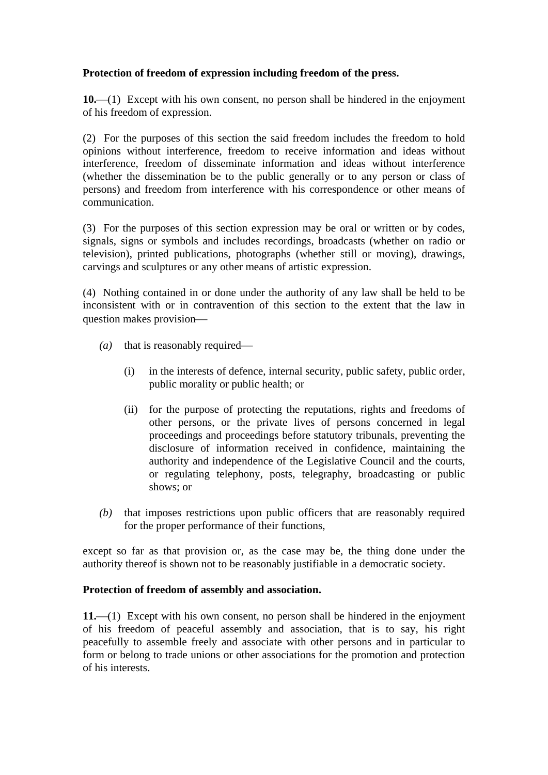## **Protection of freedom of expression including freedom of the press.**

**10.** (1) Except with his own consent, no person shall be hindered in the enjoyment of his freedom of expression.

(2) For the purposes of this section the said freedom includes the freedom to hold opinions without interference, freedom to receive information and ideas without interference, freedom of disseminate information and ideas without interference (whether the dissemination be to the public generally or to any person or class of persons) and freedom from interference with his correspondence or other means of communication.

(3) For the purposes of this section expression may be oral or written or by codes, signals, signs or symbols and includes recordings, broadcasts (whether on radio or television), printed publications, photographs (whether still or moving), drawings, carvings and sculptures or any other means of artistic expression.

(4) Nothing contained in or done under the authority of any law shall be held to be inconsistent with or in contravention of this section to the extent that the law in question makes provision—

- $(a)$  that is reasonably required—
	- (i) in the interests of defence, internal security, public safety, public order, public morality or public health; or
	- (ii) for the purpose of protecting the reputations, rights and freedoms of other persons, or the private lives of persons concerned in legal proceedings and proceedings before statutory tribunals, preventing the disclosure of information received in confidence, maintaining the authority and independence of the Legislative Council and the courts, or regulating telephony, posts, telegraphy, broadcasting or public shows; or
- *(b)* that imposes restrictions upon public officers that are reasonably required for the proper performance of their functions,

except so far as that provision or, as the case may be, the thing done under the authority thereof is shown not to be reasonably justifiable in a democratic society.

## **Protection of freedom of assembly and association.**

**11.**⎯(1) Except with his own consent, no person shall be hindered in the enjoyment of his freedom of peaceful assembly and association, that is to say, his right peacefully to assemble freely and associate with other persons and in particular to form or belong to trade unions or other associations for the promotion and protection of his interests.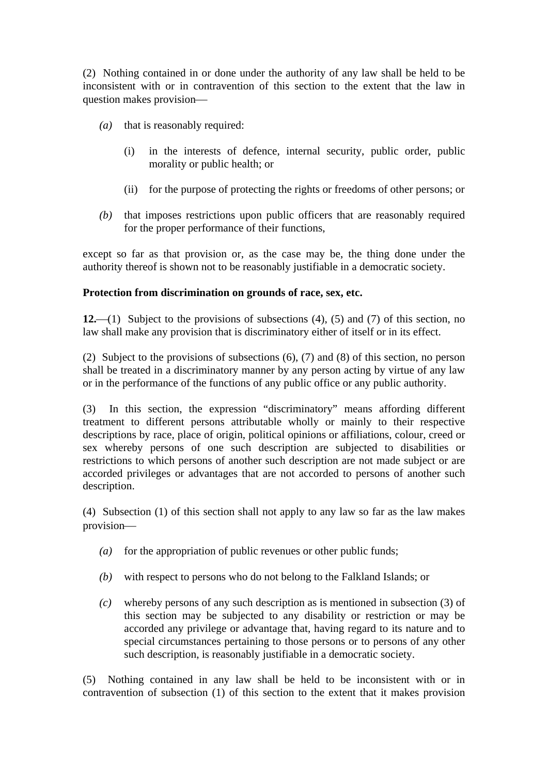(2) Nothing contained in or done under the authority of any law shall be held to be inconsistent with or in contravention of this section to the extent that the law in question makes provision—

- *(a)* that is reasonably required:
	- (i) in the interests of defence, internal security, public order, public morality or public health; or
	- (ii) for the purpose of protecting the rights or freedoms of other persons; or
- *(b)* that imposes restrictions upon public officers that are reasonably required for the proper performance of their functions,

except so far as that provision or, as the case may be, the thing done under the authority thereof is shown not to be reasonably justifiable in a democratic society.

### **Protection from discrimination on grounds of race, sex, etc.**

**12.**<sup> $(1)$ </sup> Subject to the provisions of subsections (4), (5) and (7) of this section, no law shall make any provision that is discriminatory either of itself or in its effect.

(2) Subject to the provisions of subsections (6), (7) and (8) of this section, no person shall be treated in a discriminatory manner by any person acting by virtue of any law or in the performance of the functions of any public office or any public authority.

(3) In this section, the expression "discriminatory" means affording different treatment to different persons attributable wholly or mainly to their respective descriptions by race, place of origin, political opinions or affiliations, colour, creed or sex whereby persons of one such description are subjected to disabilities or restrictions to which persons of another such description are not made subject or are accorded privileges or advantages that are not accorded to persons of another such description.

(4) Subsection (1) of this section shall not apply to any law so far as the law makes provision-

- *(a)* for the appropriation of public revenues or other public funds;
- *(b)* with respect to persons who do not belong to the Falkland Islands; or
- *(c)* whereby persons of any such description as is mentioned in subsection (3) of this section may be subjected to any disability or restriction or may be accorded any privilege or advantage that, having regard to its nature and to special circumstances pertaining to those persons or to persons of any other such description, is reasonably justifiable in a democratic society.

(5) Nothing contained in any law shall be held to be inconsistent with or in contravention of subsection (1) of this section to the extent that it makes provision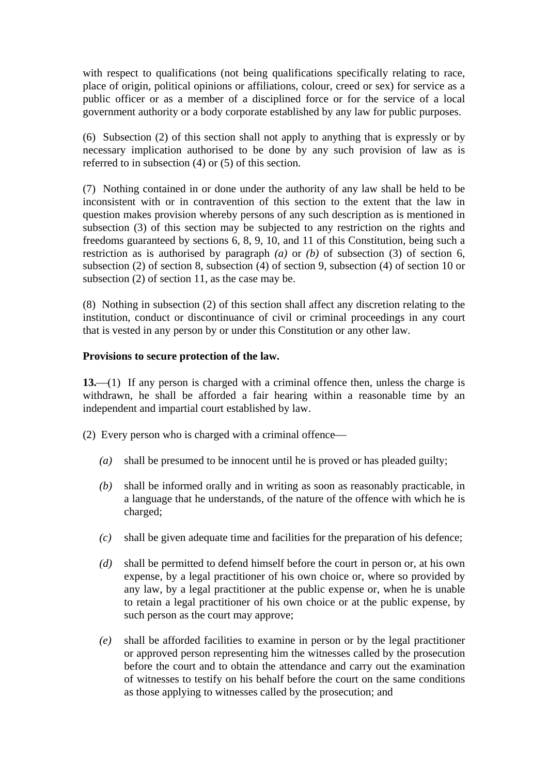with respect to qualifications (not being qualifications specifically relating to race, place of origin, political opinions or affiliations, colour, creed or sex) for service as a public officer or as a member of a disciplined force or for the service of a local government authority or a body corporate established by any law for public purposes.

(6) Subsection (2) of this section shall not apply to anything that is expressly or by necessary implication authorised to be done by any such provision of law as is referred to in subsection (4) or (5) of this section.

(7) Nothing contained in or done under the authority of any law shall be held to be inconsistent with or in contravention of this section to the extent that the law in question makes provision whereby persons of any such description as is mentioned in subsection (3) of this section may be subjected to any restriction on the rights and freedoms guaranteed by sections 6, 8, 9, 10, and 11 of this Constitution, being such a restriction as is authorised by paragraph *(a)* or *(b)* of subsection (3) of section 6, subsection (2) of section 8, subsection (4) of section 9, subsection (4) of section 10 or subsection (2) of section 11, as the case may be.

(8) Nothing in subsection (2) of this section shall affect any discretion relating to the institution, conduct or discontinuance of civil or criminal proceedings in any court that is vested in any person by or under this Constitution or any other law.

#### **Provisions to secure protection of the law.**

**13.**⎯(1) If any person is charged with a criminal offence then, unless the charge is withdrawn, he shall be afforded a fair hearing within a reasonable time by an independent and impartial court established by law.

(2) Every person who is charged with a criminal offence—

- *(a)* shall be presumed to be innocent until he is proved or has pleaded guilty;
- *(b)* shall be informed orally and in writing as soon as reasonably practicable, in a language that he understands, of the nature of the offence with which he is charged;
- *(c)* shall be given adequate time and facilities for the preparation of his defence;
- *(d)* shall be permitted to defend himself before the court in person or, at his own expense, by a legal practitioner of his own choice or, where so provided by any law, by a legal practitioner at the public expense or, when he is unable to retain a legal practitioner of his own choice or at the public expense, by such person as the court may approve;
- *(e)* shall be afforded facilities to examine in person or by the legal practitioner or approved person representing him the witnesses called by the prosecution before the court and to obtain the attendance and carry out the examination of witnesses to testify on his behalf before the court on the same conditions as those applying to witnesses called by the prosecution; and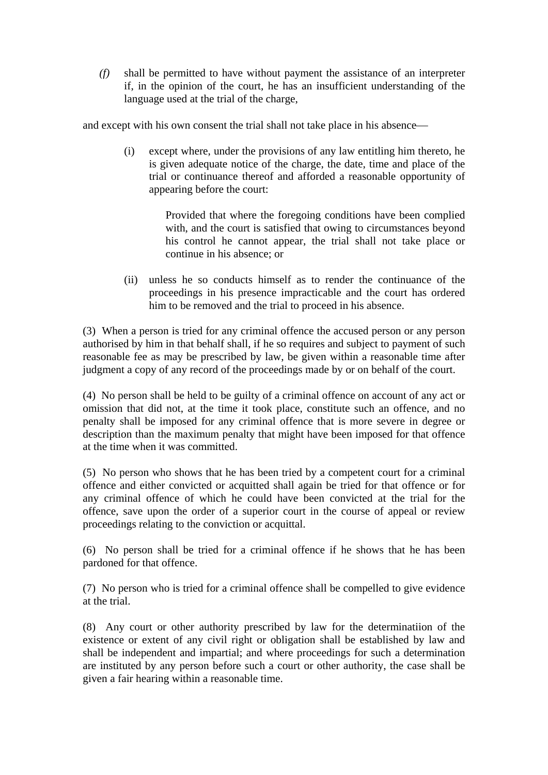*(f)* shall be permitted to have without payment the assistance of an interpreter if, in the opinion of the court, he has an insufficient understanding of the language used at the trial of the charge,

and except with his own consent the trial shall not take place in his absence—

(i) except where, under the provisions of any law entitling him thereto, he is given adequate notice of the charge, the date, time and place of the trial or continuance thereof and afforded a reasonable opportunity of appearing before the court:

> Provided that where the foregoing conditions have been complied with, and the court is satisfied that owing to circumstances beyond his control he cannot appear, the trial shall not take place or continue in his absence; or

(ii) unless he so conducts himself as to render the continuance of the proceedings in his presence impracticable and the court has ordered him to be removed and the trial to proceed in his absence.

(3) When a person is tried for any criminal offence the accused person or any person authorised by him in that behalf shall, if he so requires and subject to payment of such reasonable fee as may be prescribed by law, be given within a reasonable time after judgment a copy of any record of the proceedings made by or on behalf of the court.

(4) No person shall be held to be guilty of a criminal offence on account of any act or omission that did not, at the time it took place, constitute such an offence, and no penalty shall be imposed for any criminal offence that is more severe in degree or description than the maximum penalty that might have been imposed for that offence at the time when it was committed.

(5) No person who shows that he has been tried by a competent court for a criminal offence and either convicted or acquitted shall again be tried for that offence or for any criminal offence of which he could have been convicted at the trial for the offence, save upon the order of a superior court in the course of appeal or review proceedings relating to the conviction or acquittal.

(6) No person shall be tried for a criminal offence if he shows that he has been pardoned for that offence.

(7) No person who is tried for a criminal offence shall be compelled to give evidence at the trial.

(8) Any court or other authority prescribed by law for the determinatiion of the existence or extent of any civil right or obligation shall be established by law and shall be independent and impartial; and where proceedings for such a determination are instituted by any person before such a court or other authority, the case shall be given a fair hearing within a reasonable time.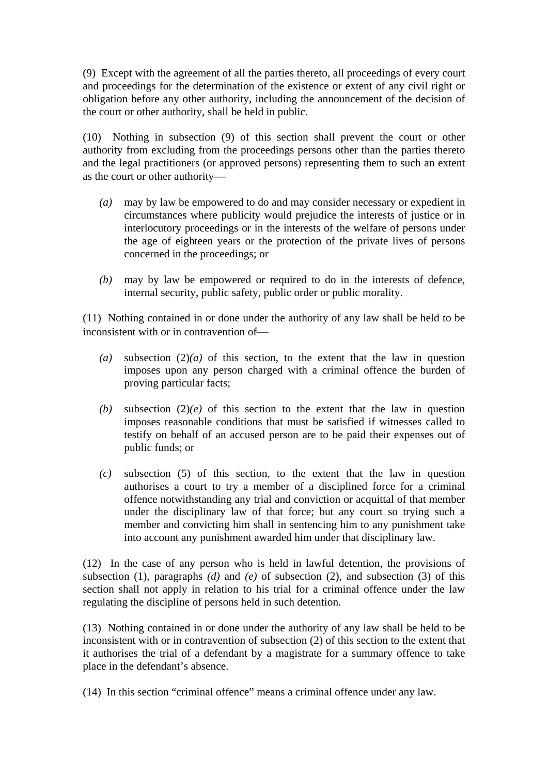(9) Except with the agreement of all the parties thereto, all proceedings of every court and proceedings for the determination of the existence or extent of any civil right or obligation before any other authority, including the announcement of the decision of the court or other authority, shall be held in public.

(10) Nothing in subsection (9) of this section shall prevent the court or other authority from excluding from the proceedings persons other than the parties thereto and the legal practitioners (or approved persons) representing them to such an extent as the court or other authority—

- *(a)* may by law be empowered to do and may consider necessary or expedient in circumstances where publicity would prejudice the interests of justice or in interlocutory proceedings or in the interests of the welfare of persons under the age of eighteen years or the protection of the private lives of persons concerned in the proceedings; or
- *(b)* may by law be empowered or required to do in the interests of defence, internal security, public safety, public order or public morality.

(11) Nothing contained in or done under the authority of any law shall be held to be inconsistent with or in contravention of-

- (a) subsection  $(2)(a)$  of this section, to the extent that the law in question imposes upon any person charged with a criminal offence the burden of proving particular facts;
- (b) subsection  $(2)(e)$  of this section to the extent that the law in question imposes reasonable conditions that must be satisfied if witnesses called to testify on behalf of an accused person are to be paid their expenses out of public funds; or
- *(c)* subsection (5) of this section, to the extent that the law in question authorises a court to try a member of a disciplined force for a criminal offence notwithstanding any trial and conviction or acquittal of that member under the disciplinary law of that force; but any court so trying such a member and convicting him shall in sentencing him to any punishment take into account any punishment awarded him under that disciplinary law.

(12) In the case of any person who is held in lawful detention, the provisions of subsection (1), paragraphs *(d)* and *(e)* of subsection (2), and subsection (3) of this section shall not apply in relation to his trial for a criminal offence under the law regulating the discipline of persons held in such detention.

(13) Nothing contained in or done under the authority of any law shall be held to be inconsistent with or in contravention of subsection (2) of this section to the extent that it authorises the trial of a defendant by a magistrate for a summary offence to take place in the defendant's absence.

(14) In this section "criminal offence" means a criminal offence under any law.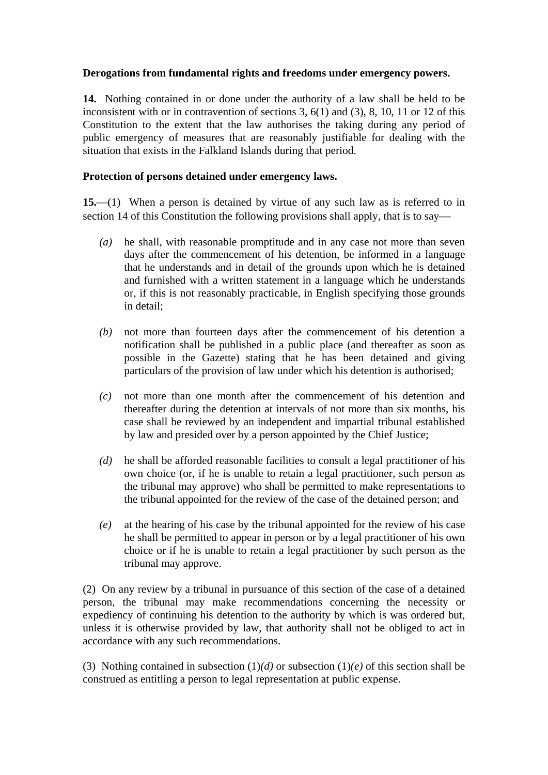### **Derogations from fundamental rights and freedoms under emergency powers.**

**14.** Nothing contained in or done under the authority of a law shall be held to be inconsistent with or in contravention of sections 3, 6(1) and (3), 8, 10, 11 or 12 of this Constitution to the extent that the law authorises the taking during any period of public emergency of measures that are reasonably justifiable for dealing with the situation that exists in the Falkland Islands during that period.

### **Protection of persons detained under emergency laws.**

**15.** (1) When a person is detained by virtue of any such law as is referred to in section 14 of this Constitution the following provisions shall apply, that is to say—

- *(a)* he shall, with reasonable promptitude and in any case not more than seven days after the commencement of his detention, be informed in a language that he understands and in detail of the grounds upon which he is detained and furnished with a written statement in a language which he understands or, if this is not reasonably practicable, in English specifying those grounds in detail;
- *(b)* not more than fourteen days after the commencement of his detention a notification shall be published in a public place (and thereafter as soon as possible in the Gazette) stating that he has been detained and giving particulars of the provision of law under which his detention is authorised;
- *(c)* not more than one month after the commencement of his detention and thereafter during the detention at intervals of not more than six months, his case shall be reviewed by an independent and impartial tribunal established by law and presided over by a person appointed by the Chief Justice;
- *(d)* he shall be afforded reasonable facilities to consult a legal practitioner of his own choice (or, if he is unable to retain a legal practitioner, such person as the tribunal may approve) who shall be permitted to make representations to the tribunal appointed for the review of the case of the detained person; and
- *(e)* at the hearing of his case by the tribunal appointed for the review of his case he shall be permitted to appear in person or by a legal practitioner of his own choice or if he is unable to retain a legal practitioner by such person as the tribunal may approve.

(2) On any review by a tribunal in pursuance of this section of the case of a detained person, the tribunal may make recommendations concerning the necessity or expediency of continuing his detention to the authority by which is was ordered but, unless it is otherwise provided by law, that authority shall not be obliged to act in accordance with any such recommendations.

(3) Nothing contained in subsection (1)*(d)* or subsection (1)*(e)* of this section shall be construed as entitling a person to legal representation at public expense.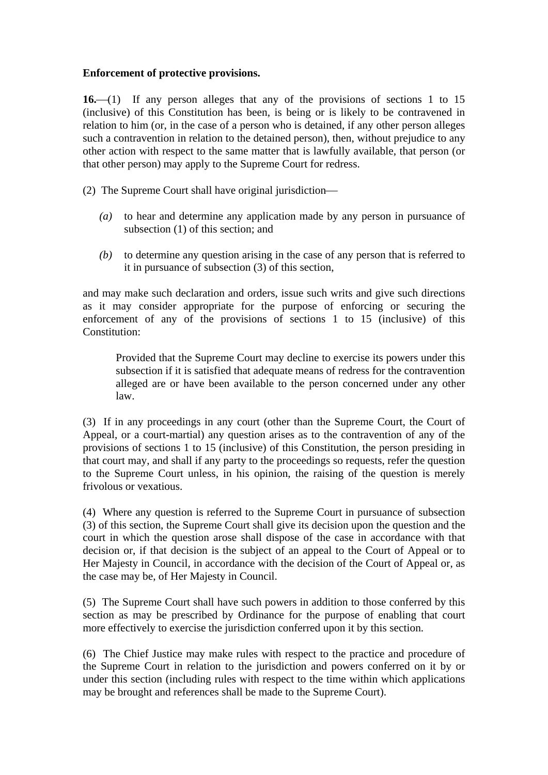### **Enforcement of protective provisions.**

**16.** (1) If any person alleges that any of the provisions of sections 1 to 15 (inclusive) of this Constitution has been, is being or is likely to be contravened in relation to him (or, in the case of a person who is detained, if any other person alleges such a contravention in relation to the detained person), then, without prejudice to any other action with respect to the same matter that is lawfully available, that person (or that other person) may apply to the Supreme Court for redress.

- (2) The Supreme Court shall have original jurisdiction—
	- *(a)* to hear and determine any application made by any person in pursuance of subsection (1) of this section; and
	- *(b)* to determine any question arising in the case of any person that is referred to it in pursuance of subsection (3) of this section,

and may make such declaration and orders, issue such writs and give such directions as it may consider appropriate for the purpose of enforcing or securing the enforcement of any of the provisions of sections 1 to 15 (inclusive) of this Constitution<sup>.</sup>

Provided that the Supreme Court may decline to exercise its powers under this subsection if it is satisfied that adequate means of redress for the contravention alleged are or have been available to the person concerned under any other law.

(3) If in any proceedings in any court (other than the Supreme Court, the Court of Appeal, or a court-martial) any question arises as to the contravention of any of the provisions of sections 1 to 15 (inclusive) of this Constitution, the person presiding in that court may, and shall if any party to the proceedings so requests, refer the question to the Supreme Court unless, in his opinion, the raising of the question is merely frivolous or vexatious.

(4) Where any question is referred to the Supreme Court in pursuance of subsection (3) of this section, the Supreme Court shall give its decision upon the question and the court in which the question arose shall dispose of the case in accordance with that decision or, if that decision is the subject of an appeal to the Court of Appeal or to Her Majesty in Council, in accordance with the decision of the Court of Appeal or, as the case may be, of Her Majesty in Council.

(5) The Supreme Court shall have such powers in addition to those conferred by this section as may be prescribed by Ordinance for the purpose of enabling that court more effectively to exercise the jurisdiction conferred upon it by this section.

(6) The Chief Justice may make rules with respect to the practice and procedure of the Supreme Court in relation to the jurisdiction and powers conferred on it by or under this section (including rules with respect to the time within which applications may be brought and references shall be made to the Supreme Court).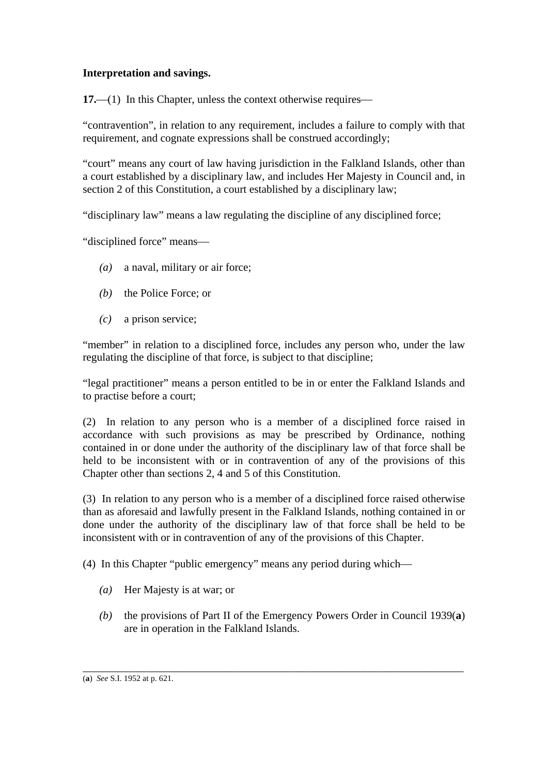## **Interpretation and savings.**

**17.** (1) In this Chapter, unless the context otherwise requires —

"contravention", in relation to any requirement, includes a failure to comply with that requirement, and cognate expressions shall be construed accordingly;

"court" means any court of law having jurisdiction in the Falkland Islands, other than a court established by a disciplinary law, and includes Her Majesty in Council and, in section 2 of this Constitution, a court established by a disciplinary law;

"disciplinary law" means a law regulating the discipline of any disciplined force;

"disciplined force" means—

- *(a)* a naval, military or air force;
- *(b)* the Police Force; or
- *(c)* a prison service;

"member" in relation to a disciplined force, includes any person who, under the law regulating the discipline of that force, is subject to that discipline;

"legal practitioner" means a person entitled to be in or enter the Falkland Islands and to practise before a court;

(2) In relation to any person who is a member of a disciplined force raised in accordance with such provisions as may be prescribed by Ordinance, nothing contained in or done under the authority of the disciplinary law of that force shall be held to be inconsistent with or in contravention of any of the provisions of this Chapter other than sections 2, 4 and 5 of this Constitution.

(3) In relation to any person who is a member of a disciplined force raised otherwise than as aforesaid and lawfully present in the Falkland Islands, nothing contained in or done under the authority of the disciplinary law of that force shall be held to be inconsistent with or in contravention of any of the provisions of this Chapter.

(4) In this Chapter "public emergency" means any period during which—

- *(a)* Her Majesty is at war; or
- *(b)* the provisions of Part II of the Emergency Powers Order in Council 1939(**a**) are in operation in the Falkland Islands.

\_\_\_\_\_\_\_\_\_\_\_\_\_\_\_\_\_\_\_\_\_\_\_\_\_\_\_\_\_\_\_\_\_\_\_\_\_\_\_\_\_\_\_\_\_\_\_\_\_\_\_\_\_\_\_\_\_\_\_\_\_\_\_\_\_\_\_\_\_

<sup>(</sup>**a**) *See* S.I. 1952 at p. 621.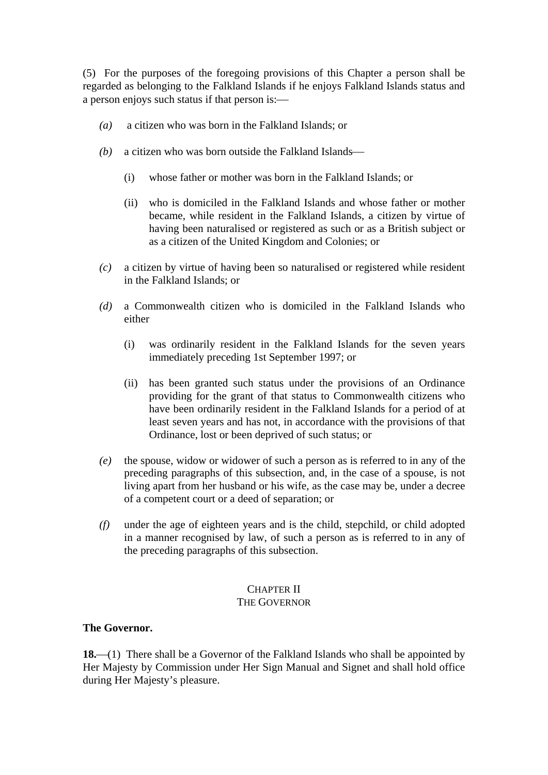(5) For the purposes of the foregoing provisions of this Chapter a person shall be regarded as belonging to the Falkland Islands if he enjoys Falkland Islands status and a person enjoys such status if that person is:—

- *(a)* a citizen who was born in the Falkland Islands; or
- $(b)$  a citizen who was born outside the Falkland Islands—
	- (i) whose father or mother was born in the Falkland Islands; or
	- (ii) who is domiciled in the Falkland Islands and whose father or mother became, while resident in the Falkland Islands, a citizen by virtue of having been naturalised or registered as such or as a British subject or as a citizen of the United Kingdom and Colonies; or
- *(c)* a citizen by virtue of having been so naturalised or registered while resident in the Falkland Islands; or
- *(d)* a Commonwealth citizen who is domiciled in the Falkland Islands who either
	- (i) was ordinarily resident in the Falkland Islands for the seven years immediately preceding 1st September 1997; or
	- (ii) has been granted such status under the provisions of an Ordinance providing for the grant of that status to Commonwealth citizens who have been ordinarily resident in the Falkland Islands for a period of at least seven years and has not, in accordance with the provisions of that Ordinance, lost or been deprived of such status; or
- *(e)* the spouse, widow or widower of such a person as is referred to in any of the preceding paragraphs of this subsection, and, in the case of a spouse, is not living apart from her husband or his wife, as the case may be, under a decree of a competent court or a deed of separation; or
- *(f)* under the age of eighteen years and is the child, stepchild, or child adopted in a manner recognised by law, of such a person as is referred to in any of the preceding paragraphs of this subsection.

#### CHAPTER II THE GOVERNOR

#### **The Governor.**

**18.**⎯(1) There shall be a Governor of the Falkland Islands who shall be appointed by Her Majesty by Commission under Her Sign Manual and Signet and shall hold office during Her Majesty's pleasure.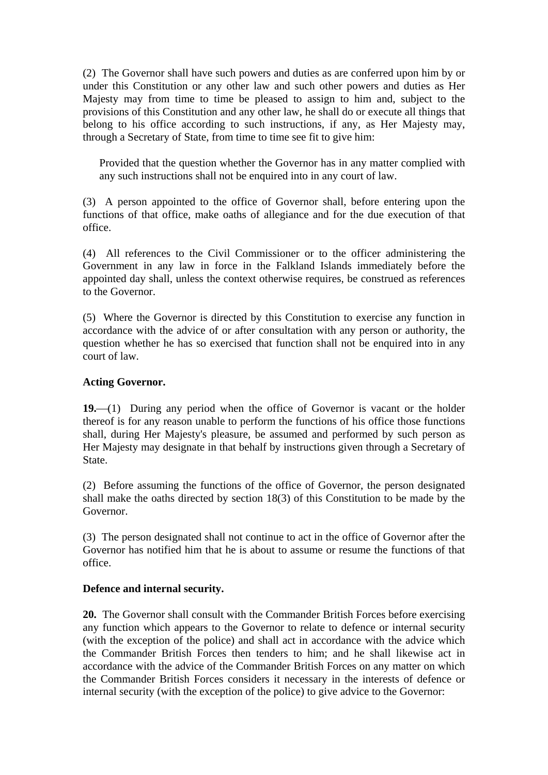(2) The Governor shall have such powers and duties as are conferred upon him by or under this Constitution or any other law and such other powers and duties as Her Majesty may from time to time be pleased to assign to him and, subject to the provisions of this Constitution and any other law, he shall do or execute all things that belong to his office according to such instructions, if any, as Her Majesty may, through a Secretary of State, from time to time see fit to give him:

Provided that the question whether the Governor has in any matter complied with any such instructions shall not be enquired into in any court of law.

(3) A person appointed to the office of Governor shall, before entering upon the functions of that office, make oaths of allegiance and for the due execution of that office.

(4) All references to the Civil Commissioner or to the officer administering the Government in any law in force in the Falkland Islands immediately before the appointed day shall, unless the context otherwise requires, be construed as references to the Governor.

(5) Where the Governor is directed by this Constitution to exercise any function in accordance with the advice of or after consultation with any person or authority, the question whether he has so exercised that function shall not be enquired into in any court of law.

### **Acting Governor.**

19.—(1) During any period when the office of Governor is vacant or the holder thereof is for any reason unable to perform the functions of his office those functions shall, during Her Majesty's pleasure, be assumed and performed by such person as Her Majesty may designate in that behalf by instructions given through a Secretary of State.

(2) Before assuming the functions of the office of Governor, the person designated shall make the oaths directed by section 18(3) of this Constitution to be made by the Governor.

(3) The person designated shall not continue to act in the office of Governor after the Governor has notified him that he is about to assume or resume the functions of that office.

#### **Defence and internal security.**

**20.** The Governor shall consult with the Commander British Forces before exercising any function which appears to the Governor to relate to defence or internal security (with the exception of the police) and shall act in accordance with the advice which the Commander British Forces then tenders to him; and he shall likewise act in accordance with the advice of the Commander British Forces on any matter on which the Commander British Forces considers it necessary in the interests of defence or internal security (with the exception of the police) to give advice to the Governor: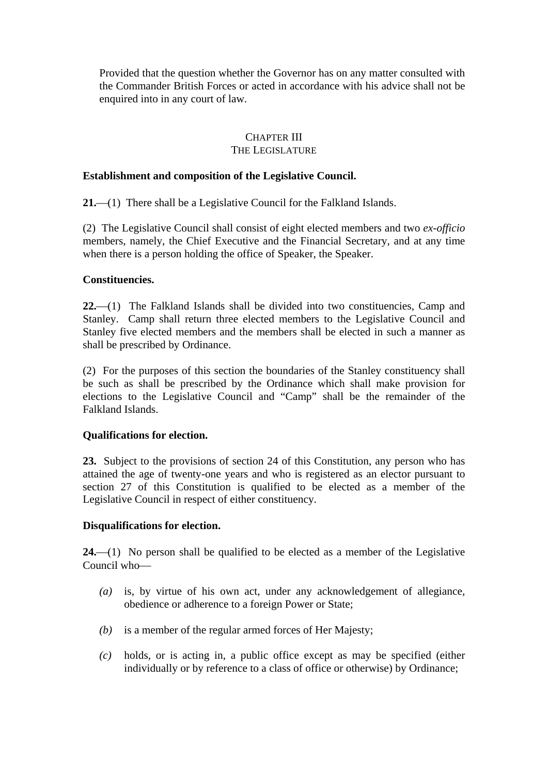Provided that the question whether the Governor has on any matter consulted with the Commander British Forces or acted in accordance with his advice shall not be enquired into in any court of law.

### CHAPTER III THE LEGISLATURE

#### **Establishment and composition of the Legislative Council.**

**21.** (1) There shall be a Legislative Council for the Falkland Islands.

(2) The Legislative Council shall consist of eight elected members and two *ex-officio* members, namely, the Chief Executive and the Financial Secretary, and at any time when there is a person holding the office of Speaker, the Speaker.

#### **Constituencies.**

**22.**<sup>(1)</sup> The Falkland Islands shall be divided into two constituencies, Camp and Stanley. Camp shall return three elected members to the Legislative Council and Stanley five elected members and the members shall be elected in such a manner as shall be prescribed by Ordinance.

(2) For the purposes of this section the boundaries of the Stanley constituency shall be such as shall be prescribed by the Ordinance which shall make provision for elections to the Legislative Council and "Camp" shall be the remainder of the Falkland Islands.

#### **Qualifications for election.**

**23.** Subject to the provisions of section 24 of this Constitution, any person who has attained the age of twenty-one years and who is registered as an elector pursuant to section 27 of this Constitution is qualified to be elected as a member of the Legislative Council in respect of either constituency.

#### **Disqualifications for election.**

**24.** (1) No person shall be qualified to be elected as a member of the Legislative Council who-

- *(a)* is, by virtue of his own act, under any acknowledgement of allegiance, obedience or adherence to a foreign Power or State;
- *(b)* is a member of the regular armed forces of Her Majesty;
- *(c)* holds, or is acting in, a public office except as may be specified (either individually or by reference to a class of office or otherwise) by Ordinance;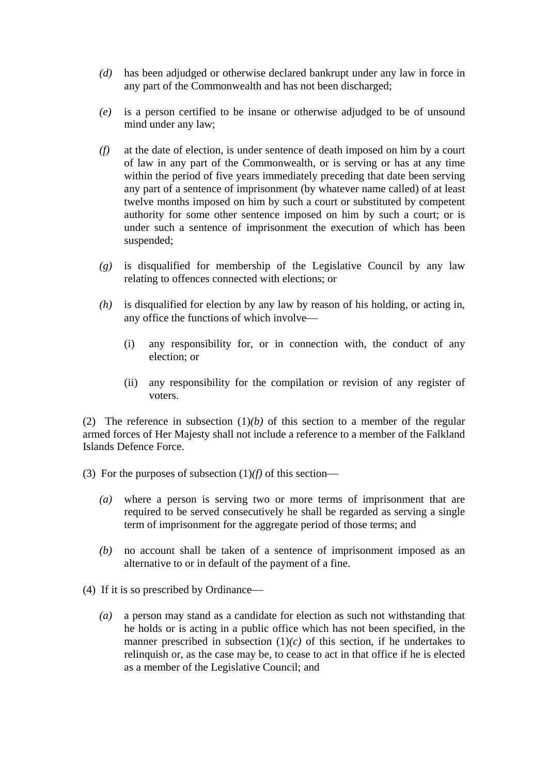- *(d)* has been adjudged or otherwise declared bankrupt under any law in force in any part of the Commonwealth and has not been discharged;
- *(e)* is a person certified to be insane or otherwise adjudged to be of unsound mind under any law;
- *(f)* at the date of election, is under sentence of death imposed on him by a court of law in any part of the Commonwealth, or is serving or has at any time within the period of five years immediately preceding that date been serving any part of a sentence of imprisonment (by whatever name called) of at least twelve months imposed on him by such a court or substituted by competent authority for some other sentence imposed on him by such a court; or is under such a sentence of imprisonment the execution of which has been suspended;
- *(g)* is disqualified for membership of the Legislative Council by any law relating to offences connected with elections; or
- *(h)* is disqualified for election by any law by reason of his holding, or acting in, any office the functions of which involve $\equiv$ 
	- (i) any responsibility for, or in connection with, the conduct of any election; or
	- (ii) any responsibility for the compilation or revision of any register of voters.

(2) The reference in subsection  $(1)(b)$  of this section to a member of the regular armed forces of Her Majesty shall not include a reference to a member of the Falkland Islands Defence Force.

- (3) For the purposes of subsection  $(1)$ *(f)* of this section—
	- *(a)* where a person is serving two or more terms of imprisonment that are required to be served consecutively he shall be regarded as serving a single term of imprisonment for the aggregate period of those terms; and
	- *(b)* no account shall be taken of a sentence of imprisonment imposed as an alternative to or in default of the payment of a fine.
- (4) If it is so prescribed by Ordinance—
	- *(a)* a person may stand as a candidate for election as such not withstanding that he holds or is acting in a public office which has not been specified, in the manner prescribed in subsection  $(1)(c)$  of this section, if he undertakes to relinquish or, as the case may be, to cease to act in that office if he is elected as a member of the Legislative Council; and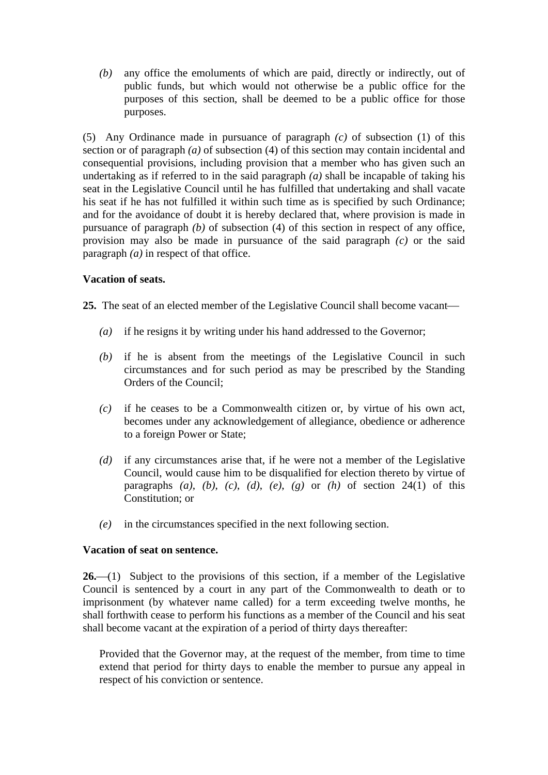*(b)* any office the emoluments of which are paid, directly or indirectly, out of public funds, but which would not otherwise be a public office for the purposes of this section, shall be deemed to be a public office for those purposes.

(5) Any Ordinance made in pursuance of paragraph *(c)* of subsection (1) of this section or of paragraph *(a)* of subsection (4) of this section may contain incidental and consequential provisions, including provision that a member who has given such an undertaking as if referred to in the said paragraph *(a)* shall be incapable of taking his seat in the Legislative Council until he has fulfilled that undertaking and shall vacate his seat if he has not fulfilled it within such time as is specified by such Ordinance; and for the avoidance of doubt it is hereby declared that, where provision is made in pursuance of paragraph *(b)* of subsection (4) of this section in respect of any office, provision may also be made in pursuance of the said paragraph *(c)* or the said paragraph *(a)* in respect of that office.

### **Vacation of seats.**

**25.** The seat of an elected member of the Legislative Council shall become vacant—

- *(a)* if he resigns it by writing under his hand addressed to the Governor;
- *(b)* if he is absent from the meetings of the Legislative Council in such circumstances and for such period as may be prescribed by the Standing Orders of the Council;
- *(c)* if he ceases to be a Commonwealth citizen or, by virtue of his own act, becomes under any acknowledgement of allegiance, obedience or adherence to a foreign Power or State;
- *(d)* if any circumstances arise that, if he were not a member of the Legislative Council, would cause him to be disqualified for election thereto by virtue of paragraphs *(a)*, *(b)*, *(c)*, *(d)*, *(e)*, *(g)* or *(h)* of section 24(1) of this Constitution; or
- *(e)* in the circumstances specified in the next following section.

#### **Vacation of seat on sentence.**

**26.** (1) Subject to the provisions of this section, if a member of the Legislative Council is sentenced by a court in any part of the Commonwealth to death or to imprisonment (by whatever name called) for a term exceeding twelve months, he shall forthwith cease to perform his functions as a member of the Council and his seat shall become vacant at the expiration of a period of thirty days thereafter:

Provided that the Governor may, at the request of the member, from time to time extend that period for thirty days to enable the member to pursue any appeal in respect of his conviction or sentence.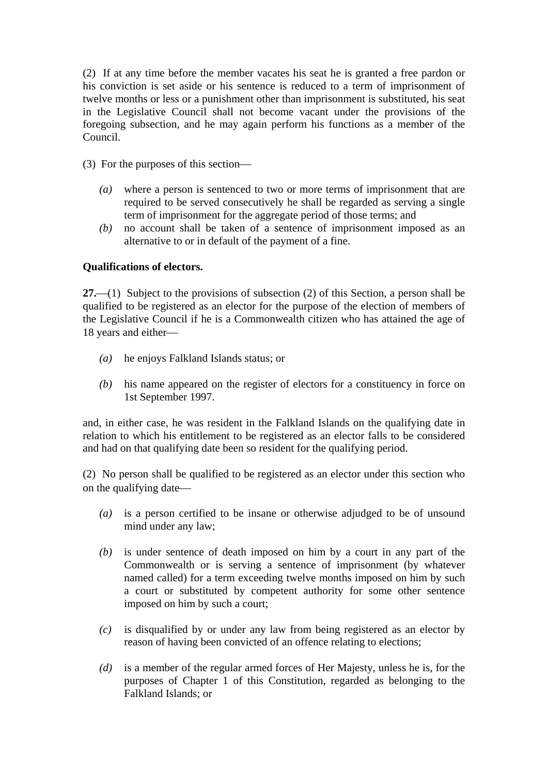(2) If at any time before the member vacates his seat he is granted a free pardon or his conviction is set aside or his sentence is reduced to a term of imprisonment of twelve months or less or a punishment other than imprisonment is substituted, his seat in the Legislative Council shall not become vacant under the provisions of the foregoing subsection, and he may again perform his functions as a member of the Council.

(3) For the purposes of this section—

- *(a)* where a person is sentenced to two or more terms of imprisonment that are required to be served consecutively he shall be regarded as serving a single term of imprisonment for the aggregate period of those terms; and
- *(b)* no account shall be taken of a sentence of imprisonment imposed as an alternative to or in default of the payment of a fine.

### **Qualifications of electors.**

**27.**⎯(1) Subject to the provisions of subsection (2) of this Section, a person shall be qualified to be registered as an elector for the purpose of the election of members of the Legislative Council if he is a Commonwealth citizen who has attained the age of 18 years and either—

- *(a)* he enjoys Falkland Islands status; or
- *(b)* his name appeared on the register of electors for a constituency in force on 1st September 1997.

and, in either case, he was resident in the Falkland Islands on the qualifying date in relation to which his entitlement to be registered as an elector falls to be considered and had on that qualifying date been so resident for the qualifying period.

(2) No person shall be qualified to be registered as an elector under this section who on the qualifying date—

- *(a)* is a person certified to be insane or otherwise adjudged to be of unsound mind under any law;
- *(b)* is under sentence of death imposed on him by a court in any part of the Commonwealth or is serving a sentence of imprisonment (by whatever named called) for a term exceeding twelve months imposed on him by such a court or substituted by competent authority for some other sentence imposed on him by such a court;
- *(c)* is disqualified by or under any law from being registered as an elector by reason of having been convicted of an offence relating to elections;
- *(d)* is a member of the regular armed forces of Her Majesty, unless he is, for the purposes of Chapter 1 of this Constitution, regarded as belonging to the Falkland Islands; or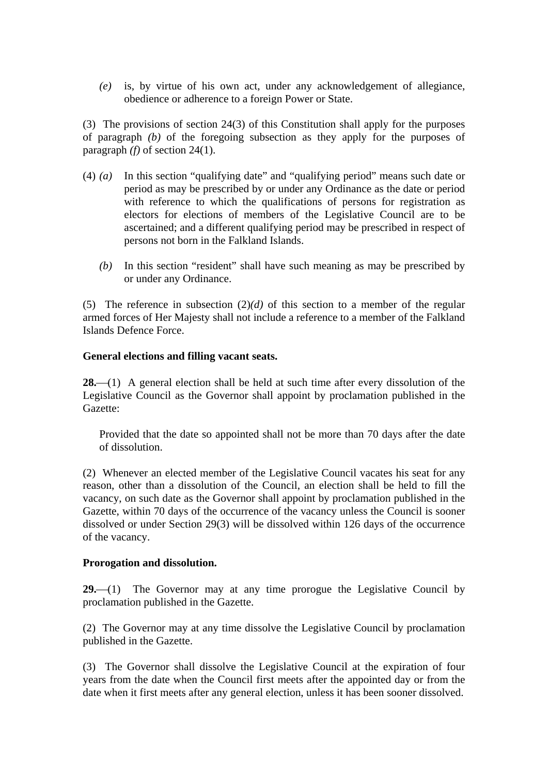*(e)* is, by virtue of his own act, under any acknowledgement of allegiance, obedience or adherence to a foreign Power or State.

(3) The provisions of section 24(3) of this Constitution shall apply for the purposes of paragraph *(b)* of the foregoing subsection as they apply for the purposes of paragraph *(f)* of section 24(1).

- (4) *(a)* In this section "qualifying date" and "qualifying period" means such date or period as may be prescribed by or under any Ordinance as the date or period with reference to which the qualifications of persons for registration as electors for elections of members of the Legislative Council are to be ascertained; and a different qualifying period may be prescribed in respect of persons not born in the Falkland Islands.
	- *(b)* In this section "resident" shall have such meaning as may be prescribed by or under any Ordinance.

(5) The reference in subsection  $(2)(d)$  of this section to a member of the regular armed forces of Her Majesty shall not include a reference to a member of the Falkland Islands Defence Force.

#### **General elections and filling vacant seats.**

**28.**<sup> $(1)$ </sup> A general election shall be held at such time after every dissolution of the Legislative Council as the Governor shall appoint by proclamation published in the Gazette:

Provided that the date so appointed shall not be more than 70 days after the date of dissolution.

(2) Whenever an elected member of the Legislative Council vacates his seat for any reason, other than a dissolution of the Council, an election shall be held to fill the vacancy, on such date as the Governor shall appoint by proclamation published in the Gazette, within 70 days of the occurrence of the vacancy unless the Council is sooner dissolved or under Section 29(3) will be dissolved within 126 days of the occurrence of the vacancy.

#### **Prorogation and dissolution.**

29.<sup> </sup>(1) The Governor may at any time prorogue the Legislative Council by proclamation published in the Gazette.

(2) The Governor may at any time dissolve the Legislative Council by proclamation published in the Gazette.

(3) The Governor shall dissolve the Legislative Council at the expiration of four years from the date when the Council first meets after the appointed day or from the date when it first meets after any general election, unless it has been sooner dissolved.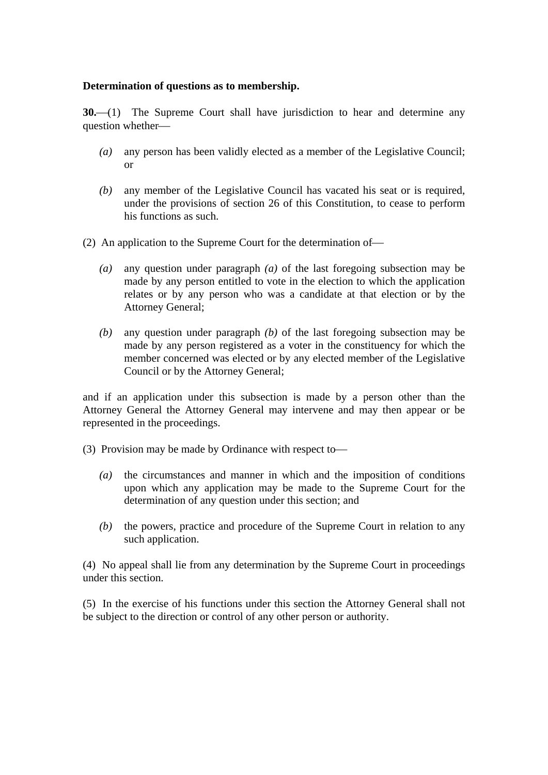#### **Determination of questions as to membership.**

**30.** (1) The Supreme Court shall have jurisdiction to hear and determine any question whether—

- *(a)* any person has been validly elected as a member of the Legislative Council; or
- *(b)* any member of the Legislative Council has vacated his seat or is required, under the provisions of section 26 of this Constitution, to cease to perform his functions as such.
- (2) An application to the Supreme Court for the determination of-
	- *(a)* any question under paragraph *(a)* of the last foregoing subsection may be made by any person entitled to vote in the election to which the application relates or by any person who was a candidate at that election or by the Attorney General;
	- *(b)* any question under paragraph *(b)* of the last foregoing subsection may be made by any person registered as a voter in the constituency for which the member concerned was elected or by any elected member of the Legislative Council or by the Attorney General;

and if an application under this subsection is made by a person other than the Attorney General the Attorney General may intervene and may then appear or be represented in the proceedings.

- (3) Provision may be made by Ordinance with respect to-
	- *(a)* the circumstances and manner in which and the imposition of conditions upon which any application may be made to the Supreme Court for the determination of any question under this section; and
	- *(b)* the powers, practice and procedure of the Supreme Court in relation to any such application.

(4) No appeal shall lie from any determination by the Supreme Court in proceedings under this section.

(5) In the exercise of his functions under this section the Attorney General shall not be subject to the direction or control of any other person or authority.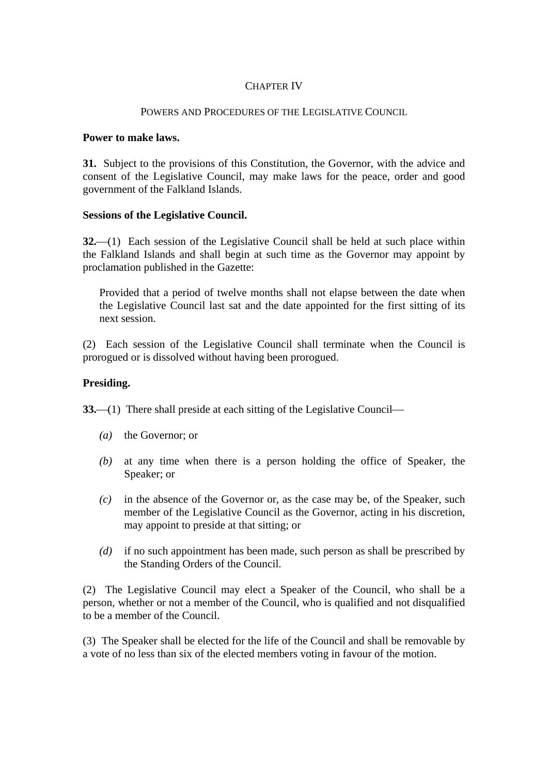## CHAPTER IV

#### POWERS AND PROCEDURES OF THE LEGISLATIVE COUNCIL

#### **Power to make laws.**

**31.** Subject to the provisions of this Constitution, the Governor, with the advice and consent of the Legislative Council, may make laws for the peace, order and good government of the Falkland Islands.

## **Sessions of the Legislative Council.**

**32.** (1) Each session of the Legislative Council shall be held at such place within the Falkland Islands and shall begin at such time as the Governor may appoint by proclamation published in the Gazette:

Provided that a period of twelve months shall not elapse between the date when the Legislative Council last sat and the date appointed for the first sitting of its next session.

(2) Each session of the Legislative Council shall terminate when the Council is prorogued or is dissolved without having been prorogued.

## **Presiding.**

**33.** (1) There shall preside at each sitting of the Legislative Council—

- *(a)* the Governor; or
- *(b)* at any time when there is a person holding the office of Speaker, the Speaker; or
- *(c)* in the absence of the Governor or, as the case may be, of the Speaker, such member of the Legislative Council as the Governor, acting in his discretion, may appoint to preside at that sitting; or
- *(d)* if no such appointment has been made, such person as shall be prescribed by the Standing Orders of the Council.

(2) The Legislative Council may elect a Speaker of the Council, who shall be a person, whether or not a member of the Council, who is qualified and not disqualified to be a member of the Council.

(3) The Speaker shall be elected for the life of the Council and shall be removable by a vote of no less than six of the elected members voting in favour of the motion.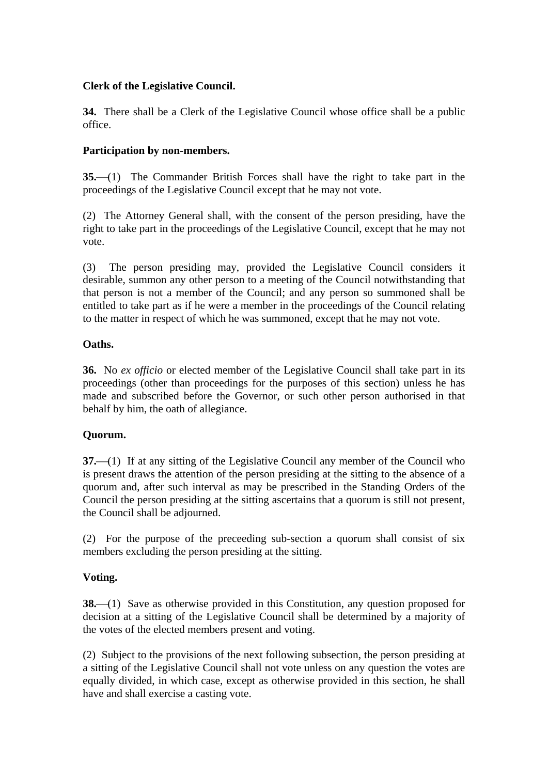### **Clerk of the Legislative Council.**

**34.** There shall be a Clerk of the Legislative Council whose office shall be a public office.

### **Participation by non-members.**

**35.**⎯(1) The Commander British Forces shall have the right to take part in the proceedings of the Legislative Council except that he may not vote.

(2) The Attorney General shall, with the consent of the person presiding, have the right to take part in the proceedings of the Legislative Council, except that he may not vote.

(3) The person presiding may, provided the Legislative Council considers it desirable, summon any other person to a meeting of the Council notwithstanding that that person is not a member of the Council; and any person so summoned shall be entitled to take part as if he were a member in the proceedings of the Council relating to the matter in respect of which he was summoned, except that he may not vote.

### **Oaths.**

**36.** No *ex officio* or elected member of the Legislative Council shall take part in its proceedings (other than proceedings for the purposes of this section) unless he has made and subscribed before the Governor, or such other person authorised in that behalf by him, the oath of allegiance.

## **Quorum.**

**37.** (1) If at any sitting of the Legislative Council any member of the Council who is present draws the attention of the person presiding at the sitting to the absence of a quorum and, after such interval as may be prescribed in the Standing Orders of the Council the person presiding at the sitting ascertains that a quorum is still not present, the Council shall be adjourned.

(2) For the purpose of the preceeding sub-section a quorum shall consist of six members excluding the person presiding at the sitting.

## **Voting.**

**38.**<sup>(1)</sup> Save as otherwise provided in this Constitution, any question proposed for decision at a sitting of the Legislative Council shall be determined by a majority of the votes of the elected members present and voting.

(2) Subject to the provisions of the next following subsection, the person presiding at a sitting of the Legislative Council shall not vote unless on any question the votes are equally divided, in which case, except as otherwise provided in this section, he shall have and shall exercise a casting vote.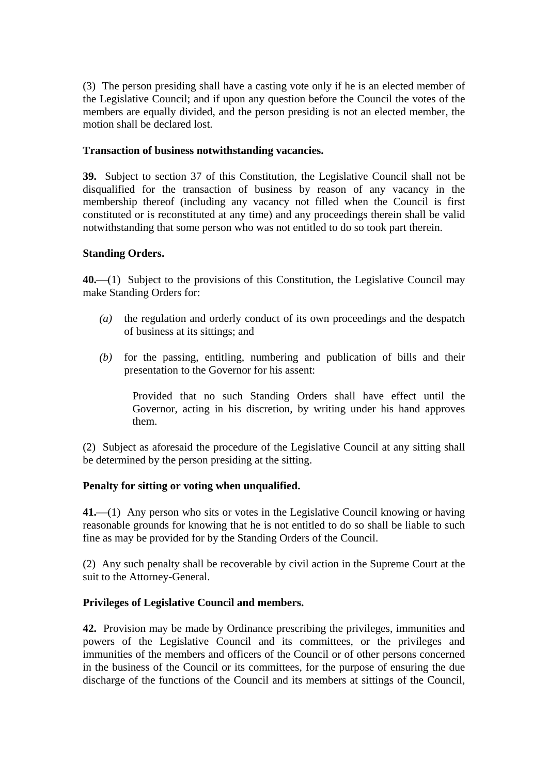(3) The person presiding shall have a casting vote only if he is an elected member of the Legislative Council; and if upon any question before the Council the votes of the members are equally divided, and the person presiding is not an elected member, the motion shall be declared lost.

### **Transaction of business notwithstanding vacancies.**

**39.** Subject to section 37 of this Constitution, the Legislative Council shall not be disqualified for the transaction of business by reason of any vacancy in the membership thereof (including any vacancy not filled when the Council is first constituted or is reconstituted at any time) and any proceedings therein shall be valid notwithstanding that some person who was not entitled to do so took part therein.

### **Standing Orders.**

40.<sup> $(1)$ </sup> Subject to the provisions of this Constitution, the Legislative Council may make Standing Orders for:

- *(a)* the regulation and orderly conduct of its own proceedings and the despatch of business at its sittings; and
- *(b)* for the passing, entitling, numbering and publication of bills and their presentation to the Governor for his assent:

Provided that no such Standing Orders shall have effect until the Governor, acting in his discretion, by writing under his hand approves them.

(2) Subject as aforesaid the procedure of the Legislative Council at any sitting shall be determined by the person presiding at the sitting.

## **Penalty for sitting or voting when unqualified.**

**41.** (1) Any person who sits or votes in the Legislative Council knowing or having reasonable grounds for knowing that he is not entitled to do so shall be liable to such fine as may be provided for by the Standing Orders of the Council.

(2) Any such penalty shall be recoverable by civil action in the Supreme Court at the suit to the Attorney-General.

#### **Privileges of Legislative Council and members.**

**42.** Provision may be made by Ordinance prescribing the privileges, immunities and powers of the Legislative Council and its committees, or the privileges and immunities of the members and officers of the Council or of other persons concerned in the business of the Council or its committees, for the purpose of ensuring the due discharge of the functions of the Council and its members at sittings of the Council,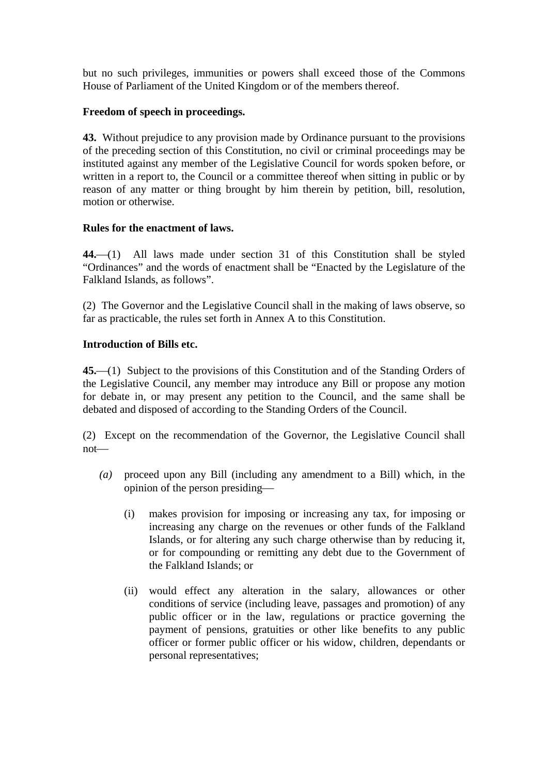but no such privileges, immunities or powers shall exceed those of the Commons House of Parliament of the United Kingdom or of the members thereof.

## **Freedom of speech in proceedings.**

**43.** Without prejudice to any provision made by Ordinance pursuant to the provisions of the preceding section of this Constitution, no civil or criminal proceedings may be instituted against any member of the Legislative Council for words spoken before, or written in a report to, the Council or a committee thereof when sitting in public or by reason of any matter or thing brought by him therein by petition, bill, resolution, motion or otherwise.

### **Rules for the enactment of laws.**

44.<sup>{4}</sup>(1) All laws made under section 31 of this Constitution shall be styled "Ordinances" and the words of enactment shall be "Enacted by the Legislature of the Falkland Islands, as follows".

(2) The Governor and the Legislative Council shall in the making of laws observe, so far as practicable, the rules set forth in Annex A to this Constitution.

## **Introduction of Bills etc.**

45.<sup> $(1)$ </sup> Subject to the provisions of this Constitution and of the Standing Orders of the Legislative Council, any member may introduce any Bill or propose any motion for debate in, or may present any petition to the Council, and the same shall be debated and disposed of according to the Standing Orders of the Council.

(2) Except on the recommendation of the Governor, the Legislative Council shall  $not$ —

- *(a)* proceed upon any Bill (including any amendment to a Bill) which, in the opinion of the person presiding—
	- (i) makes provision for imposing or increasing any tax, for imposing or increasing any charge on the revenues or other funds of the Falkland Islands, or for altering any such charge otherwise than by reducing it, or for compounding or remitting any debt due to the Government of the Falkland Islands; or
	- (ii) would effect any alteration in the salary, allowances or other conditions of service (including leave, passages and promotion) of any public officer or in the law, regulations or practice governing the payment of pensions, gratuities or other like benefits to any public officer or former public officer or his widow, children, dependants or personal representatives;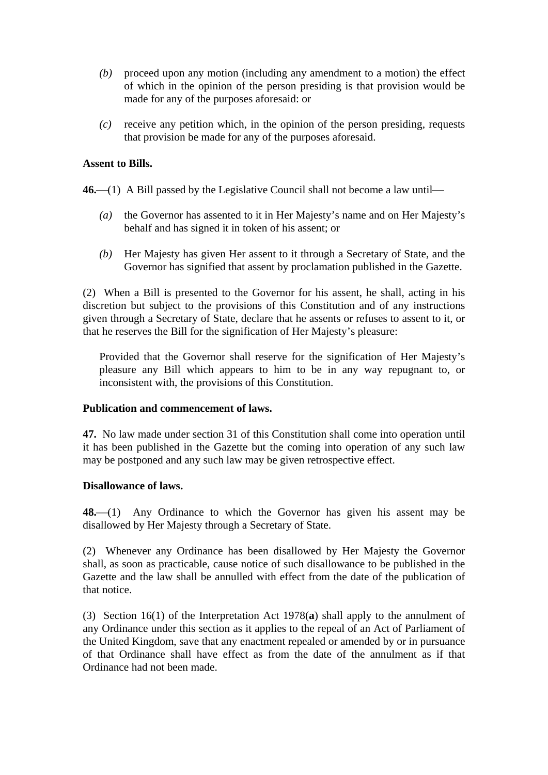- *(b)* proceed upon any motion (including any amendment to a motion) the effect of which in the opinion of the person presiding is that provision would be made for any of the purposes aforesaid: or
- *(c)* receive any petition which, in the opinion of the person presiding, requests that provision be made for any of the purposes aforesaid.

#### **Assent to Bills.**

**46.** $\left(\begin{array}{c} -1 \end{array}\right)$  A Bill passed by the Legislative Council shall not become a law until

- *(a)* the Governor has assented to it in Her Majesty's name and on Her Majesty's behalf and has signed it in token of his assent; or
- *(b)* Her Majesty has given Her assent to it through a Secretary of State, and the Governor has signified that assent by proclamation published in the Gazette.

(2) When a Bill is presented to the Governor for his assent, he shall, acting in his discretion but subject to the provisions of this Constitution and of any instructions given through a Secretary of State, declare that he assents or refuses to assent to it, or that he reserves the Bill for the signification of Her Majesty's pleasure:

Provided that the Governor shall reserve for the signification of Her Majesty's pleasure any Bill which appears to him to be in any way repugnant to, or inconsistent with, the provisions of this Constitution.

#### **Publication and commencement of laws.**

**47.** No law made under section 31 of this Constitution shall come into operation until it has been published in the Gazette but the coming into operation of any such law may be postponed and any such law may be given retrospective effect.

#### **Disallowance of laws.**

48.<sup> $(1)$ </sup> Any Ordinance to which the Governor has given his assent may be disallowed by Her Majesty through a Secretary of State.

(2) Whenever any Ordinance has been disallowed by Her Majesty the Governor shall, as soon as practicable, cause notice of such disallowance to be published in the Gazette and the law shall be annulled with effect from the date of the publication of that notice.

(3) Section 16(1) of the Interpretation Act 1978(**a**) shall apply to the annulment of any Ordinance under this section as it applies to the repeal of an Act of Parliament of the United Kingdom, save that any enactment repealed or amended by or in pursuance of that Ordinance shall have effect as from the date of the annulment as if that Ordinance had not been made.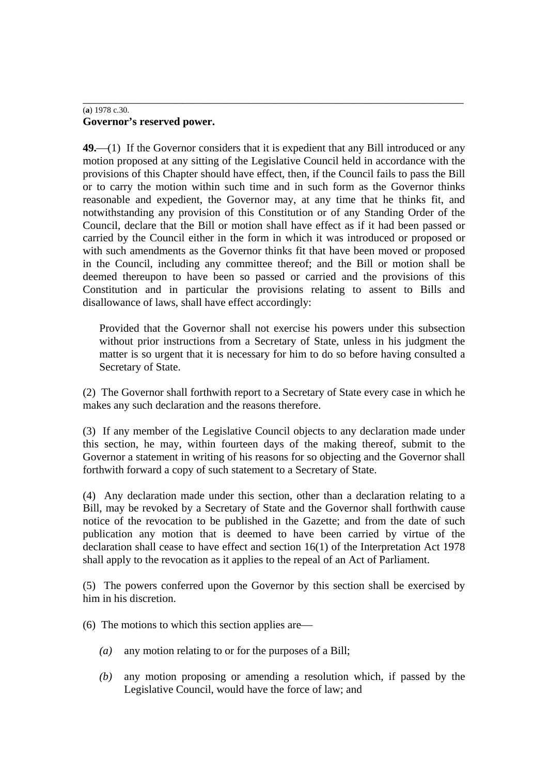#### (**a**) 1978 c.30. **Governor's reserved power.**

49.<sup> $(1)$ </sup> If the Governor considers that it is expedient that any Bill introduced or any motion proposed at any sitting of the Legislative Council held in accordance with the provisions of this Chapter should have effect, then, if the Council fails to pass the Bill or to carry the motion within such time and in such form as the Governor thinks reasonable and expedient, the Governor may, at any time that he thinks fit, and notwithstanding any provision of this Constitution or of any Standing Order of the Council, declare that the Bill or motion shall have effect as if it had been passed or carried by the Council either in the form in which it was introduced or proposed or with such amendments as the Governor thinks fit that have been moved or proposed in the Council, including any committee thereof; and the Bill or motion shall be deemed thereupon to have been so passed or carried and the provisions of this Constitution and in particular the provisions relating to assent to Bills and disallowance of laws, shall have effect accordingly:

\_\_\_\_\_\_\_\_\_\_\_\_\_\_\_\_\_\_\_\_\_\_\_\_\_\_\_\_\_\_\_\_\_\_\_\_\_\_\_\_\_\_\_\_\_\_\_\_\_\_\_\_\_\_\_\_\_\_\_\_\_\_\_\_\_\_\_\_\_

Provided that the Governor shall not exercise his powers under this subsection without prior instructions from a Secretary of State, unless in his judgment the matter is so urgent that it is necessary for him to do so before having consulted a Secretary of State.

(2) The Governor shall forthwith report to a Secretary of State every case in which he makes any such declaration and the reasons therefore.

(3) If any member of the Legislative Council objects to any declaration made under this section, he may, within fourteen days of the making thereof, submit to the Governor a statement in writing of his reasons for so objecting and the Governor shall forthwith forward a copy of such statement to a Secretary of State.

(4) Any declaration made under this section, other than a declaration relating to a Bill, may be revoked by a Secretary of State and the Governor shall forthwith cause notice of the revocation to be published in the Gazette; and from the date of such publication any motion that is deemed to have been carried by virtue of the declaration shall cease to have effect and section 16(1) of the Interpretation Act 1978 shall apply to the revocation as it applies to the repeal of an Act of Parliament.

(5) The powers conferred upon the Governor by this section shall be exercised by him in his discretion.

 $(6)$  The motions to which this section applies are—

- *(a)* any motion relating to or for the purposes of a Bill;
- *(b)* any motion proposing or amending a resolution which, if passed by the Legislative Council, would have the force of law; and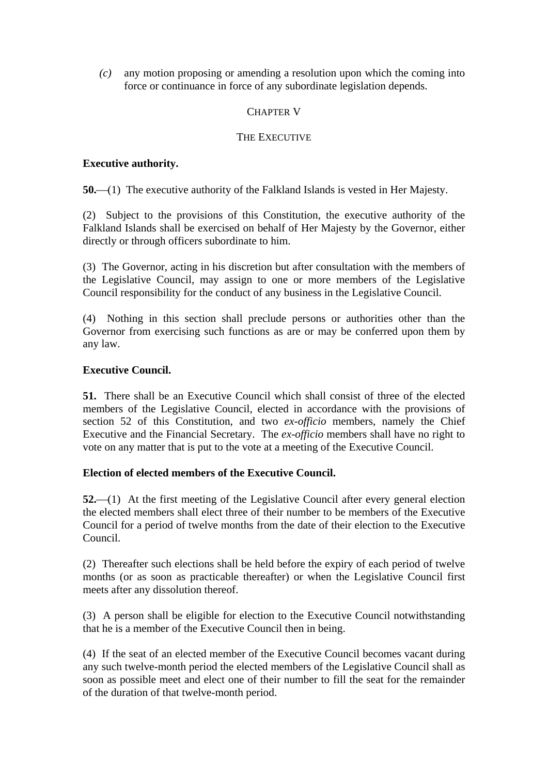*(c)* any motion proposing or amending a resolution upon which the coming into force or continuance in force of any subordinate legislation depends.

### CHAPTER V

#### THE EXECUTIVE

### **Executive authority.**

**50.** (1) The executive authority of the Falkland Islands is vested in Her Majesty.

(2) Subject to the provisions of this Constitution, the executive authority of the Falkland Islands shall be exercised on behalf of Her Majesty by the Governor, either directly or through officers subordinate to him.

(3) The Governor, acting in his discretion but after consultation with the members of the Legislative Council, may assign to one or more members of the Legislative Council responsibility for the conduct of any business in the Legislative Council.

(4) Nothing in this section shall preclude persons or authorities other than the Governor from exercising such functions as are or may be conferred upon them by any law.

#### **Executive Council.**

**51.** There shall be an Executive Council which shall consist of three of the elected members of the Legislative Council, elected in accordance with the provisions of section 52 of this Constitution, and two *ex-officio* members, namely the Chief Executive and the Financial Secretary. The *ex-officio* members shall have no right to vote on any matter that is put to the vote at a meeting of the Executive Council.

## **Election of elected members of the Executive Council.**

**52.**<sup>(1)</sup> At the first meeting of the Legislative Council after every general election the elected members shall elect three of their number to be members of the Executive Council for a period of twelve months from the date of their election to the Executive Council.

(2) Thereafter such elections shall be held before the expiry of each period of twelve months (or as soon as practicable thereafter) or when the Legislative Council first meets after any dissolution thereof.

(3) A person shall be eligible for election to the Executive Council notwithstanding that he is a member of the Executive Council then in being.

(4) If the seat of an elected member of the Executive Council becomes vacant during any such twelve-month period the elected members of the Legislative Council shall as soon as possible meet and elect one of their number to fill the seat for the remainder of the duration of that twelve-month period.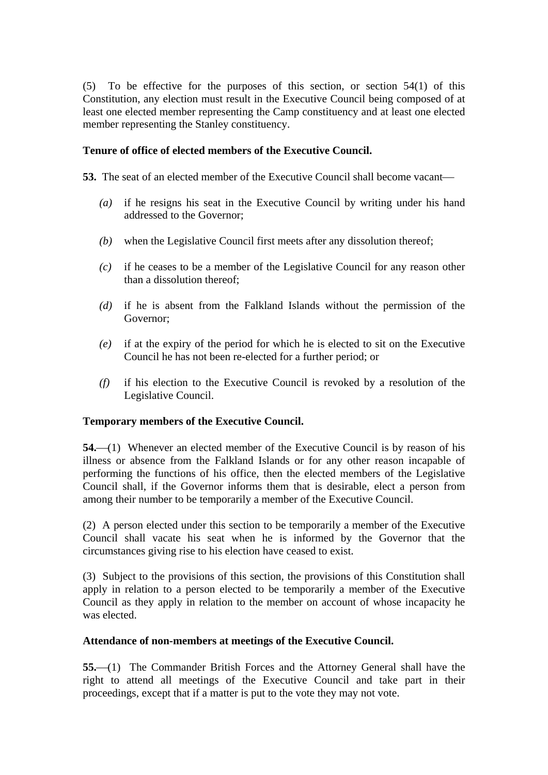(5) To be effective for the purposes of this section, or section 54(1) of this Constitution, any election must result in the Executive Council being composed of at least one elected member representing the Camp constituency and at least one elected member representing the Stanley constituency.

## **Tenure of office of elected members of the Executive Council.**

**53.** The seat of an elected member of the Executive Council shall become vacant—

- *(a)* if he resigns his seat in the Executive Council by writing under his hand addressed to the Governor;
- *(b)* when the Legislative Council first meets after any dissolution thereof;
- *(c)* if he ceases to be a member of the Legislative Council for any reason other than a dissolution thereof;
- *(d)* if he is absent from the Falkland Islands without the permission of the Governor;
- *(e)* if at the expiry of the period for which he is elected to sit on the Executive Council he has not been re-elected for a further period; or
- *(f)* if his election to the Executive Council is revoked by a resolution of the Legislative Council.

## **Temporary members of the Executive Council.**

**54.** (1) Whenever an elected member of the Executive Council is by reason of his illness or absence from the Falkland Islands or for any other reason incapable of performing the functions of his office, then the elected members of the Legislative Council shall, if the Governor informs them that is desirable, elect a person from among their number to be temporarily a member of the Executive Council.

(2) A person elected under this section to be temporarily a member of the Executive Council shall vacate his seat when he is informed by the Governor that the circumstances giving rise to his election have ceased to exist.

(3) Subject to the provisions of this section, the provisions of this Constitution shall apply in relation to a person elected to be temporarily a member of the Executive Council as they apply in relation to the member on account of whose incapacity he was elected.

## **Attendance of non-members at meetings of the Executive Council.**

**55.**⎯(1) The Commander British Forces and the Attorney General shall have the right to attend all meetings of the Executive Council and take part in their proceedings, except that if a matter is put to the vote they may not vote.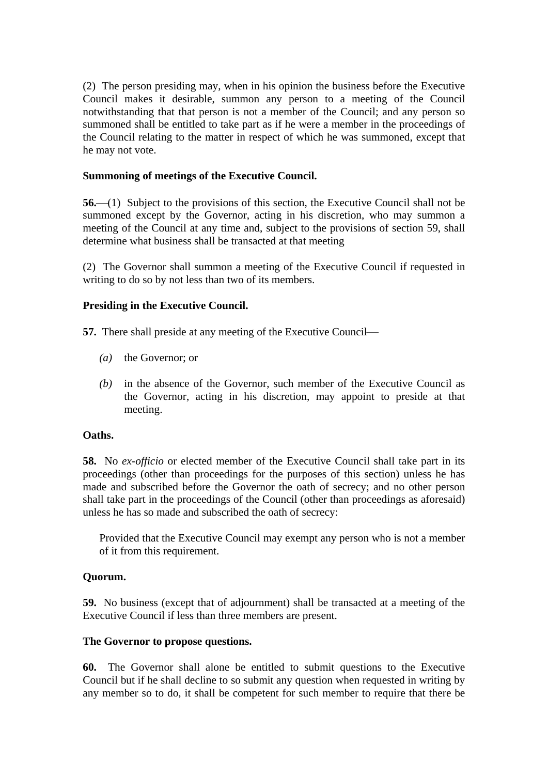(2) The person presiding may, when in his opinion the business before the Executive Council makes it desirable, summon any person to a meeting of the Council notwithstanding that that person is not a member of the Council; and any person so summoned shall be entitled to take part as if he were a member in the proceedings of the Council relating to the matter in respect of which he was summoned, except that he may not vote.

### **Summoning of meetings of the Executive Council.**

**56.** (1) Subject to the provisions of this section, the Executive Council shall not be summoned except by the Governor, acting in his discretion, who may summon a meeting of the Council at any time and, subject to the provisions of section 59, shall determine what business shall be transacted at that meeting

(2) The Governor shall summon a meeting of the Executive Council if requested in writing to do so by not less than two of its members.

### **Presiding in the Executive Council.**

**57.** There shall preside at any meeting of the Executive Council—

- *(a)* the Governor; or
- *(b)* in the absence of the Governor, such member of the Executive Council as the Governor, acting in his discretion, may appoint to preside at that meeting.

#### **Oaths.**

**58.** No *ex-officio* or elected member of the Executive Council shall take part in its proceedings (other than proceedings for the purposes of this section) unless he has made and subscribed before the Governor the oath of secrecy; and no other person shall take part in the proceedings of the Council (other than proceedings as aforesaid) unless he has so made and subscribed the oath of secrecy:

Provided that the Executive Council may exempt any person who is not a member of it from this requirement.

#### **Quorum.**

**59.** No business (except that of adjournment) shall be transacted at a meeting of the Executive Council if less than three members are present.

#### **The Governor to propose questions.**

**60.** The Governor shall alone be entitled to submit questions to the Executive Council but if he shall decline to so submit any question when requested in writing by any member so to do, it shall be competent for such member to require that there be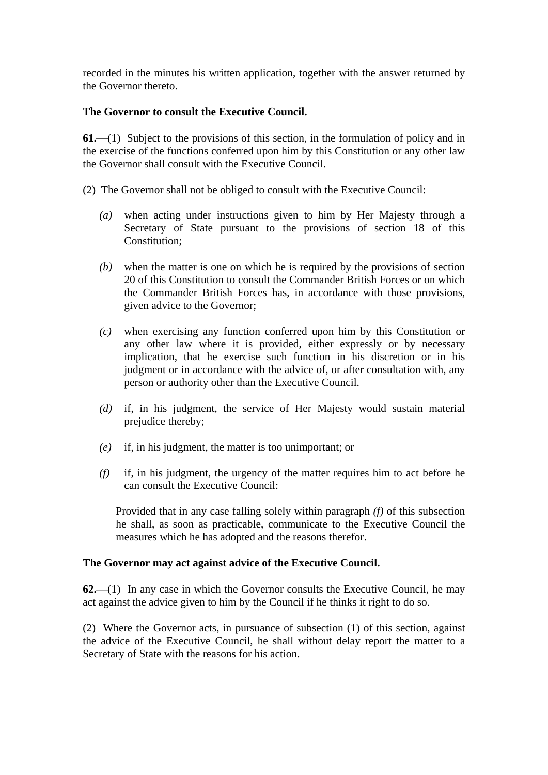recorded in the minutes his written application, together with the answer returned by the Governor thereto.

### **The Governor to consult the Executive Council.**

**61.** (1) Subject to the provisions of this section, in the formulation of policy and in the exercise of the functions conferred upon him by this Constitution or any other law the Governor shall consult with the Executive Council.

- (2) The Governor shall not be obliged to consult with the Executive Council:
	- *(a)* when acting under instructions given to him by Her Majesty through a Secretary of State pursuant to the provisions of section 18 of this Constitution;
	- *(b)* when the matter is one on which he is required by the provisions of section 20 of this Constitution to consult the Commander British Forces or on which the Commander British Forces has, in accordance with those provisions, given advice to the Governor;
	- *(c)* when exercising any function conferred upon him by this Constitution or any other law where it is provided, either expressly or by necessary implication, that he exercise such function in his discretion or in his judgment or in accordance with the advice of, or after consultation with, any person or authority other than the Executive Council.
	- *(d)* if, in his judgment, the service of Her Majesty would sustain material prejudice thereby;
	- *(e)* if, in his judgment, the matter is too unimportant; or
	- *(f)* if, in his judgment, the urgency of the matter requires him to act before he can consult the Executive Council:

Provided that in any case falling solely within paragraph *(f)* of this subsection he shall, as soon as practicable, communicate to the Executive Council the measures which he has adopted and the reasons therefor.

#### **The Governor may act against advice of the Executive Council.**

**62.**⎯(1) In any case in which the Governor consults the Executive Council, he may act against the advice given to him by the Council if he thinks it right to do so.

(2) Where the Governor acts, in pursuance of subsection (1) of this section, against the advice of the Executive Council, he shall without delay report the matter to a Secretary of State with the reasons for his action.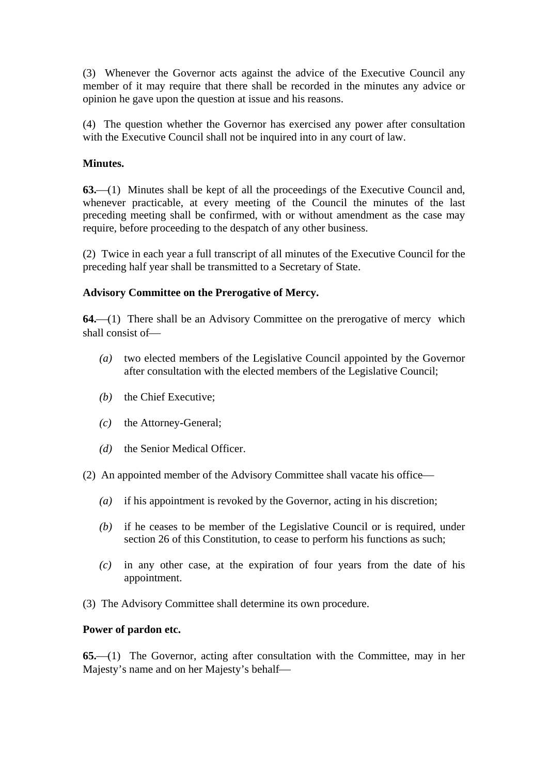(3) Whenever the Governor acts against the advice of the Executive Council any member of it may require that there shall be recorded in the minutes any advice or opinion he gave upon the question at issue and his reasons.

(4) The question whether the Governor has exercised any power after consultation with the Executive Council shall not be inquired into in any court of law.

#### **Minutes.**

**63.** (1) Minutes shall be kept of all the proceedings of the Executive Council and, whenever practicable, at every meeting of the Council the minutes of the last preceding meeting shall be confirmed, with or without amendment as the case may require, before proceeding to the despatch of any other business.

(2) Twice in each year a full transcript of all minutes of the Executive Council for the preceding half year shall be transmitted to a Secretary of State.

#### **Advisory Committee on the Prerogative of Mercy.**

**64.** (1) There shall be an Advisory Committee on the prerogative of mercy which shall consist of-

- *(a)* two elected members of the Legislative Council appointed by the Governor after consultation with the elected members of the Legislative Council;
- *(b)* the Chief Executive;
- *(c)* the Attorney-General;
- *(d)* the Senior Medical Officer.
- (2) An appointed member of the Advisory Committee shall vacate his office—
	- *(a)* if his appointment is revoked by the Governor, acting in his discretion;
	- *(b)* if he ceases to be member of the Legislative Council or is required, under section 26 of this Constitution, to cease to perform his functions as such;
	- *(c)* in any other case, at the expiration of four years from the date of his appointment.
- (3) The Advisory Committee shall determine its own procedure.

#### **Power of pardon etc.**

**65.** (1) The Governor, acting after consultation with the Committee, may in her Majesty's name and on her Majesty's behalf—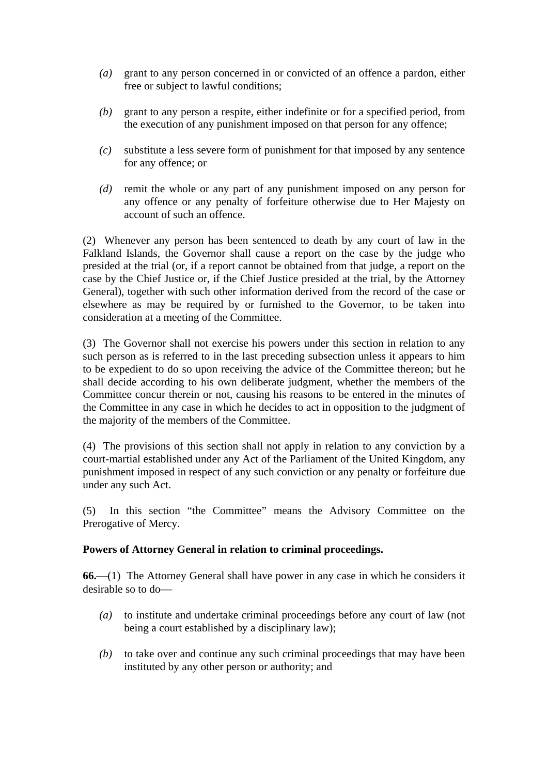- *(a)* grant to any person concerned in or convicted of an offence a pardon, either free or subject to lawful conditions;
- *(b)* grant to any person a respite, either indefinite or for a specified period, from the execution of any punishment imposed on that person for any offence;
- *(c)* substitute a less severe form of punishment for that imposed by any sentence for any offence; or
- *(d)* remit the whole or any part of any punishment imposed on any person for any offence or any penalty of forfeiture otherwise due to Her Majesty on account of such an offence.

(2) Whenever any person has been sentenced to death by any court of law in the Falkland Islands, the Governor shall cause a report on the case by the judge who presided at the trial (or, if a report cannot be obtained from that judge, a report on the case by the Chief Justice or, if the Chief Justice presided at the trial, by the Attorney General), together with such other information derived from the record of the case or elsewhere as may be required by or furnished to the Governor, to be taken into consideration at a meeting of the Committee.

(3) The Governor shall not exercise his powers under this section in relation to any such person as is referred to in the last preceding subsection unless it appears to him to be expedient to do so upon receiving the advice of the Committee thereon; but he shall decide according to his own deliberate judgment, whether the members of the Committee concur therein or not, causing his reasons to be entered in the minutes of the Committee in any case in which he decides to act in opposition to the judgment of the majority of the members of the Committee.

(4) The provisions of this section shall not apply in relation to any conviction by a court-martial established under any Act of the Parliament of the United Kingdom, any punishment imposed in respect of any such conviction or any penalty or forfeiture due under any such Act.

(5) In this section "the Committee" means the Advisory Committee on the Prerogative of Mercy.

## **Powers of Attorney General in relation to criminal proceedings.**

**66.** (1) The Attorney General shall have power in any case in which he considers it desirable so to do

- *(a)* to institute and undertake criminal proceedings before any court of law (not being a court established by a disciplinary law);
- *(b)* to take over and continue any such criminal proceedings that may have been instituted by any other person or authority; and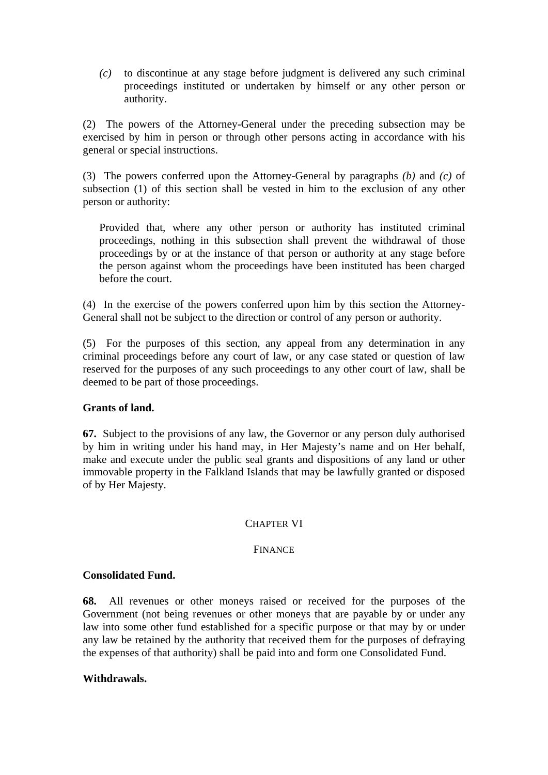*(c)* to discontinue at any stage before judgment is delivered any such criminal proceedings instituted or undertaken by himself or any other person or authority.

(2) The powers of the Attorney-General under the preceding subsection may be exercised by him in person or through other persons acting in accordance with his general or special instructions.

(3) The powers conferred upon the Attorney-General by paragraphs *(b)* and *(c)* of subsection (1) of this section shall be vested in him to the exclusion of any other person or authority:

Provided that, where any other person or authority has instituted criminal proceedings, nothing in this subsection shall prevent the withdrawal of those proceedings by or at the instance of that person or authority at any stage before the person against whom the proceedings have been instituted has been charged before the court.

(4) In the exercise of the powers conferred upon him by this section the Attorney-General shall not be subject to the direction or control of any person or authority.

(5) For the purposes of this section, any appeal from any determination in any criminal proceedings before any court of law, or any case stated or question of law reserved for the purposes of any such proceedings to any other court of law, shall be deemed to be part of those proceedings.

#### **Grants of land.**

**67.** Subject to the provisions of any law, the Governor or any person duly authorised by him in writing under his hand may, in Her Majesty's name and on Her behalf, make and execute under the public seal grants and dispositions of any land or other immovable property in the Falkland Islands that may be lawfully granted or disposed of by Her Majesty.

#### CHAPTER VI

### **FINANCE**

## **Consolidated Fund.**

**68.** All revenues or other moneys raised or received for the purposes of the Government (not being revenues or other moneys that are payable by or under any law into some other fund established for a specific purpose or that may by or under any law be retained by the authority that received them for the purposes of defraying the expenses of that authority) shall be paid into and form one Consolidated Fund.

#### **Withdrawals.**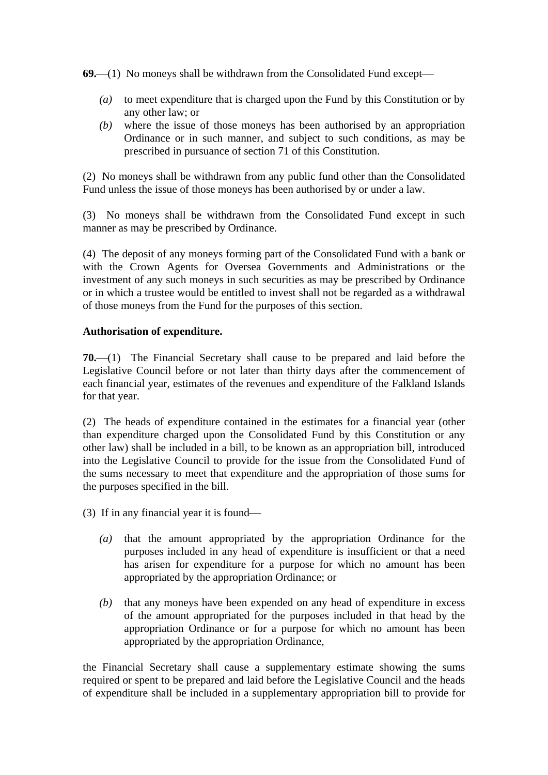$69.$  (1) No moneys shall be withdrawn from the Consolidated Fund except—

- *(a)* to meet expenditure that is charged upon the Fund by this Constitution or by any other law; or
- *(b)* where the issue of those moneys has been authorised by an appropriation Ordinance or in such manner, and subject to such conditions, as may be prescribed in pursuance of section 71 of this Constitution.

(2) No moneys shall be withdrawn from any public fund other than the Consolidated Fund unless the issue of those moneys has been authorised by or under a law.

(3) No moneys shall be withdrawn from the Consolidated Fund except in such manner as may be prescribed by Ordinance.

(4) The deposit of any moneys forming part of the Consolidated Fund with a bank or with the Crown Agents for Oversea Governments and Administrations or the investment of any such moneys in such securities as may be prescribed by Ordinance or in which a trustee would be entitled to invest shall not be regarded as a withdrawal of those moneys from the Fund for the purposes of this section.

## **Authorisation of expenditure.**

**70.** (1) The Financial Secretary shall cause to be prepared and laid before the Legislative Council before or not later than thirty days after the commencement of each financial year, estimates of the revenues and expenditure of the Falkland Islands for that year.

(2) The heads of expenditure contained in the estimates for a financial year (other than expenditure charged upon the Consolidated Fund by this Constitution or any other law) shall be included in a bill, to be known as an appropriation bill, introduced into the Legislative Council to provide for the issue from the Consolidated Fund of the sums necessary to meet that expenditure and the appropriation of those sums for the purposes specified in the bill.

(3) If in any financial year it is found—

- *(a)* that the amount appropriated by the appropriation Ordinance for the purposes included in any head of expenditure is insufficient or that a need has arisen for expenditure for a purpose for which no amount has been appropriated by the appropriation Ordinance; or
- *(b)* that any moneys have been expended on any head of expenditure in excess of the amount appropriated for the purposes included in that head by the appropriation Ordinance or for a purpose for which no amount has been appropriated by the appropriation Ordinance,

the Financial Secretary shall cause a supplementary estimate showing the sums required or spent to be prepared and laid before the Legislative Council and the heads of expenditure shall be included in a supplementary appropriation bill to provide for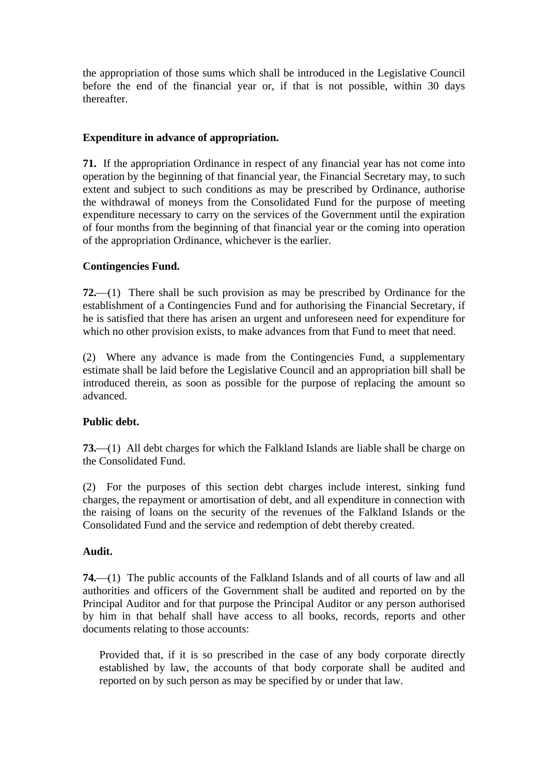the appropriation of those sums which shall be introduced in the Legislative Council before the end of the financial year or, if that is not possible, within 30 days thereafter.

### **Expenditure in advance of appropriation.**

**71.** If the appropriation Ordinance in respect of any financial year has not come into operation by the beginning of that financial year, the Financial Secretary may, to such extent and subject to such conditions as may be prescribed by Ordinance, authorise the withdrawal of moneys from the Consolidated Fund for the purpose of meeting expenditure necessary to carry on the services of the Government until the expiration of four months from the beginning of that financial year or the coming into operation of the appropriation Ordinance, whichever is the earlier.

### **Contingencies Fund.**

**72.** (1) There shall be such provision as may be prescribed by Ordinance for the establishment of a Contingencies Fund and for authorising the Financial Secretary, if he is satisfied that there has arisen an urgent and unforeseen need for expenditure for which no other provision exists, to make advances from that Fund to meet that need.

(2) Where any advance is made from the Contingencies Fund, a supplementary estimate shall be laid before the Legislative Council and an appropriation bill shall be introduced therein, as soon as possible for the purpose of replacing the amount so advanced.

## **Public debt.**

**73.** (1) All debt charges for which the Falkland Islands are liable shall be charge on the Consolidated Fund.

(2) For the purposes of this section debt charges include interest, sinking fund charges, the repayment or amortisation of debt, and all expenditure in connection with the raising of loans on the security of the revenues of the Falkland Islands or the Consolidated Fund and the service and redemption of debt thereby created.

#### **Audit.**

**74.** (1) The public accounts of the Falkland Islands and of all courts of law and all authorities and officers of the Government shall be audited and reported on by the Principal Auditor and for that purpose the Principal Auditor or any person authorised by him in that behalf shall have access to all books, records, reports and other documents relating to those accounts:

Provided that, if it is so prescribed in the case of any body corporate directly established by law, the accounts of that body corporate shall be audited and reported on by such person as may be specified by or under that law.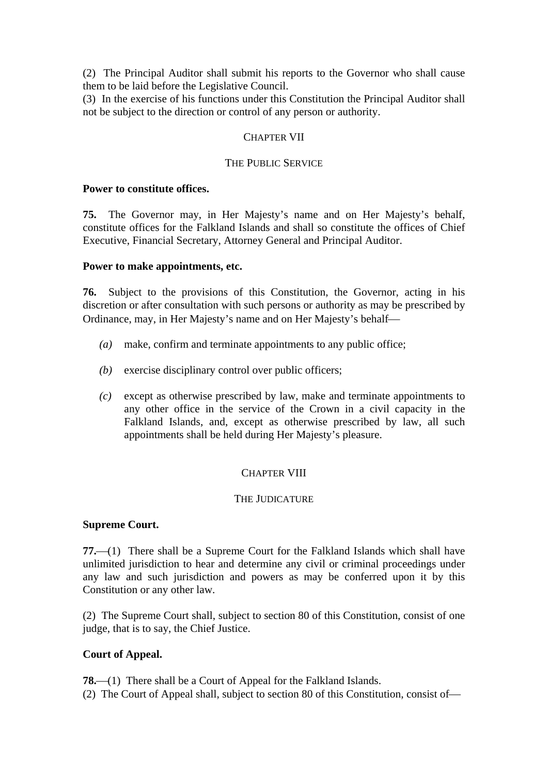(2) The Principal Auditor shall submit his reports to the Governor who shall cause them to be laid before the Legislative Council.

(3) In the exercise of his functions under this Constitution the Principal Auditor shall not be subject to the direction or control of any person or authority.

### CHAPTER VII

#### THE PUBLIC SERVICE

#### **Power to constitute offices.**

**75.** The Governor may, in Her Majesty's name and on Her Majesty's behalf, constitute offices for the Falkland Islands and shall so constitute the offices of Chief Executive, Financial Secretary, Attorney General and Principal Auditor.

#### **Power to make appointments, etc.**

**76.** Subject to the provisions of this Constitution, the Governor, acting in his discretion or after consultation with such persons or authority as may be prescribed by Ordinance, may, in Her Majesty's name and on Her Majesty's behalf-

- *(a)* make, confirm and terminate appointments to any public office;
- *(b)* exercise disciplinary control over public officers;
- *(c)* except as otherwise prescribed by law, make and terminate appointments to any other office in the service of the Crown in a civil capacity in the Falkland Islands, and, except as otherwise prescribed by law, all such appointments shall be held during Her Majesty's pleasure.

#### CHAPTER VIII

#### THE JUDICATURE

#### **Supreme Court.**

**77.** (1) There shall be a Supreme Court for the Falkland Islands which shall have unlimited jurisdiction to hear and determine any civil or criminal proceedings under any law and such jurisdiction and powers as may be conferred upon it by this Constitution or any other law.

(2) The Supreme Court shall, subject to section 80 of this Constitution, consist of one judge, that is to say, the Chief Justice.

#### **Court of Appeal.**

**78.**—(1) There shall be a Court of Appeal for the Falkland Islands. (2) The Court of Appeal shall, subject to section 80 of this Constitution, consist of—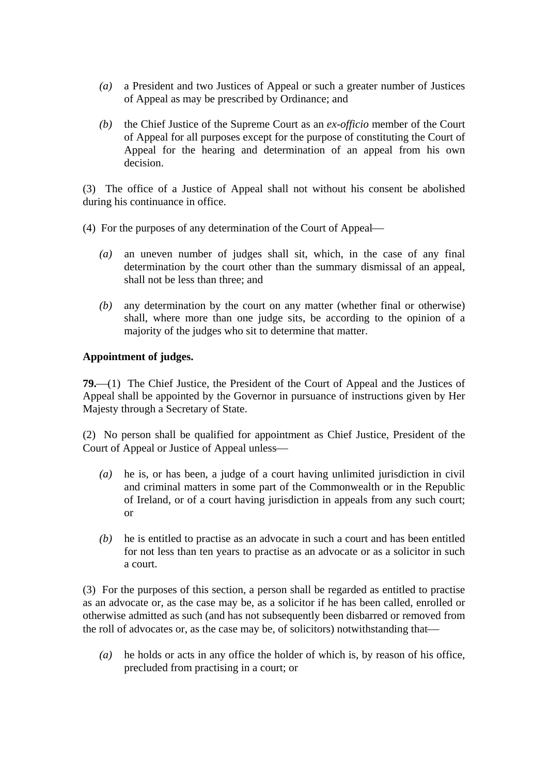- *(a)* a President and two Justices of Appeal or such a greater number of Justices of Appeal as may be prescribed by Ordinance; and
- *(b)* the Chief Justice of the Supreme Court as an *ex-officio* member of the Court of Appeal for all purposes except for the purpose of constituting the Court of Appeal for the hearing and determination of an appeal from his own decision.

(3) The office of a Justice of Appeal shall not without his consent be abolished during his continuance in office.

- (4) For the purposes of any determination of the Court of Appeal—
	- *(a)* an uneven number of judges shall sit, which, in the case of any final determination by the court other than the summary dismissal of an appeal, shall not be less than three; and
	- *(b)* any determination by the court on any matter (whether final or otherwise) shall, where more than one judge sits, be according to the opinion of a majority of the judges who sit to determine that matter.

### **Appointment of judges.**

**79.** (1) The Chief Justice, the President of the Court of Appeal and the Justices of Appeal shall be appointed by the Governor in pursuance of instructions given by Her Majesty through a Secretary of State.

(2) No person shall be qualified for appointment as Chief Justice, President of the Court of Appeal or Justice of Appeal unless—

- *(a)* he is, or has been, a judge of a court having unlimited jurisdiction in civil and criminal matters in some part of the Commonwealth or in the Republic of Ireland, or of a court having jurisdiction in appeals from any such court; or
- *(b)* he is entitled to practise as an advocate in such a court and has been entitled for not less than ten years to practise as an advocate or as a solicitor in such a court.

(3) For the purposes of this section, a person shall be regarded as entitled to practise as an advocate or, as the case may be, as a solicitor if he has been called, enrolled or otherwise admitted as such (and has not subsequently been disbarred or removed from the roll of advocates or, as the case may be, of solicitors) notwithstanding that—

*(a)* he holds or acts in any office the holder of which is, by reason of his office, precluded from practising in a court; or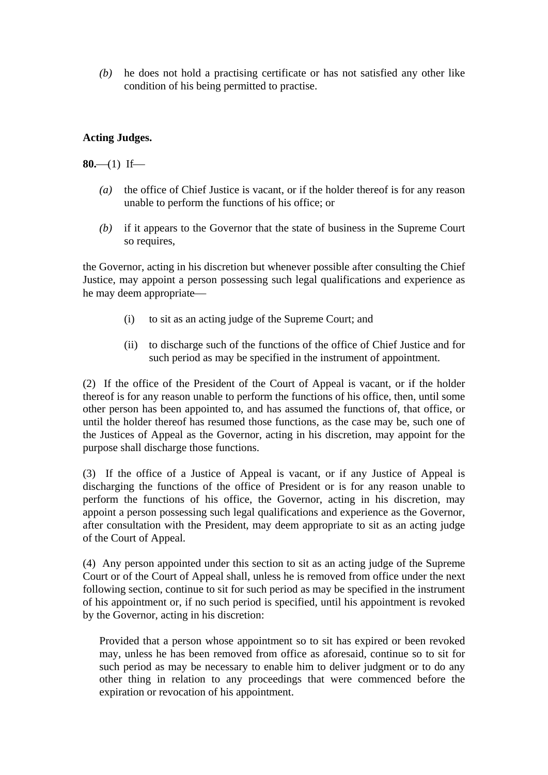*(b)* he does not hold a practising certificate or has not satisfied any other like condition of his being permitted to practise.

### **Acting Judges.**

 $80-$ (1) If

- *(a)* the office of Chief Justice is vacant, or if the holder thereof is for any reason unable to perform the functions of his office; or
- *(b)* if it appears to the Governor that the state of business in the Supreme Court so requires,

the Governor, acting in his discretion but whenever possible after consulting the Chief Justice, may appoint a person possessing such legal qualifications and experience as he may deem appropriate—

- (i) to sit as an acting judge of the Supreme Court; and
- (ii) to discharge such of the functions of the office of Chief Justice and for such period as may be specified in the instrument of appointment.

(2) If the office of the President of the Court of Appeal is vacant, or if the holder thereof is for any reason unable to perform the functions of his office, then, until some other person has been appointed to, and has assumed the functions of, that office, or until the holder thereof has resumed those functions, as the case may be, such one of the Justices of Appeal as the Governor, acting in his discretion, may appoint for the purpose shall discharge those functions.

(3) If the office of a Justice of Appeal is vacant, or if any Justice of Appeal is discharging the functions of the office of President or is for any reason unable to perform the functions of his office, the Governor, acting in his discretion, may appoint a person possessing such legal qualifications and experience as the Governor, after consultation with the President, may deem appropriate to sit as an acting judge of the Court of Appeal.

(4) Any person appointed under this section to sit as an acting judge of the Supreme Court or of the Court of Appeal shall, unless he is removed from office under the next following section, continue to sit for such period as may be specified in the instrument of his appointment or, if no such period is specified, until his appointment is revoked by the Governor, acting in his discretion:

Provided that a person whose appointment so to sit has expired or been revoked may, unless he has been removed from office as aforesaid, continue so to sit for such period as may be necessary to enable him to deliver judgment or to do any other thing in relation to any proceedings that were commenced before the expiration or revocation of his appointment.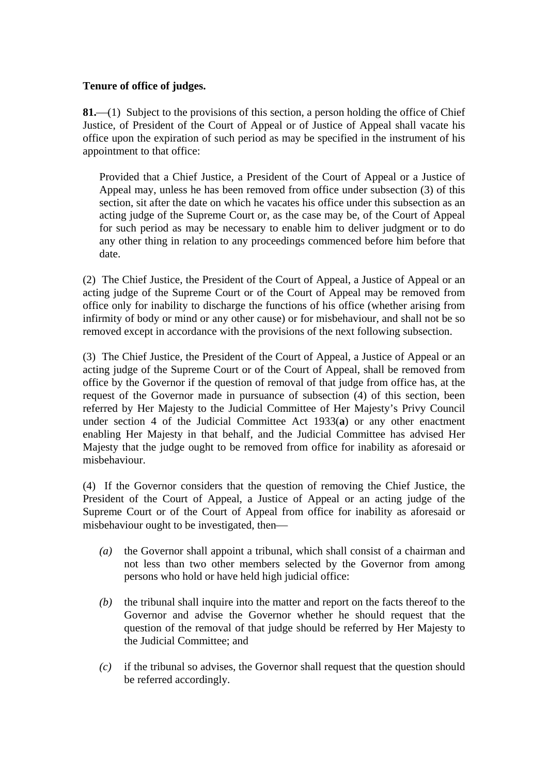### **Tenure of office of judges.**

**81.**—(1) Subject to the provisions of this section, a person holding the office of Chief Justice, of President of the Court of Appeal or of Justice of Appeal shall vacate his office upon the expiration of such period as may be specified in the instrument of his appointment to that office:

Provided that a Chief Justice, a President of the Court of Appeal or a Justice of Appeal may, unless he has been removed from office under subsection (3) of this section, sit after the date on which he vacates his office under this subsection as an acting judge of the Supreme Court or, as the case may be, of the Court of Appeal for such period as may be necessary to enable him to deliver judgment or to do any other thing in relation to any proceedings commenced before him before that date.

(2) The Chief Justice, the President of the Court of Appeal, a Justice of Appeal or an acting judge of the Supreme Court or of the Court of Appeal may be removed from office only for inability to discharge the functions of his office (whether arising from infirmity of body or mind or any other cause) or for misbehaviour, and shall not be so removed except in accordance with the provisions of the next following subsection.

(3) The Chief Justice, the President of the Court of Appeal, a Justice of Appeal or an acting judge of the Supreme Court or of the Court of Appeal, shall be removed from office by the Governor if the question of removal of that judge from office has, at the request of the Governor made in pursuance of subsection (4) of this section, been referred by Her Majesty to the Judicial Committee of Her Majesty's Privy Council under section 4 of the Judicial Committee Act 1933(**a**) or any other enactment enabling Her Majesty in that behalf, and the Judicial Committee has advised Her Majesty that the judge ought to be removed from office for inability as aforesaid or misbehaviour.

(4) If the Governor considers that the question of removing the Chief Justice, the President of the Court of Appeal, a Justice of Appeal or an acting judge of the Supreme Court or of the Court of Appeal from office for inability as aforesaid or misbehaviour ought to be investigated, then—

- *(a)* the Governor shall appoint a tribunal, which shall consist of a chairman and not less than two other members selected by the Governor from among persons who hold or have held high judicial office:
- *(b)* the tribunal shall inquire into the matter and report on the facts thereof to the Governor and advise the Governor whether he should request that the question of the removal of that judge should be referred by Her Majesty to the Judicial Committee; and
- *(c)* if the tribunal so advises, the Governor shall request that the question should be referred accordingly.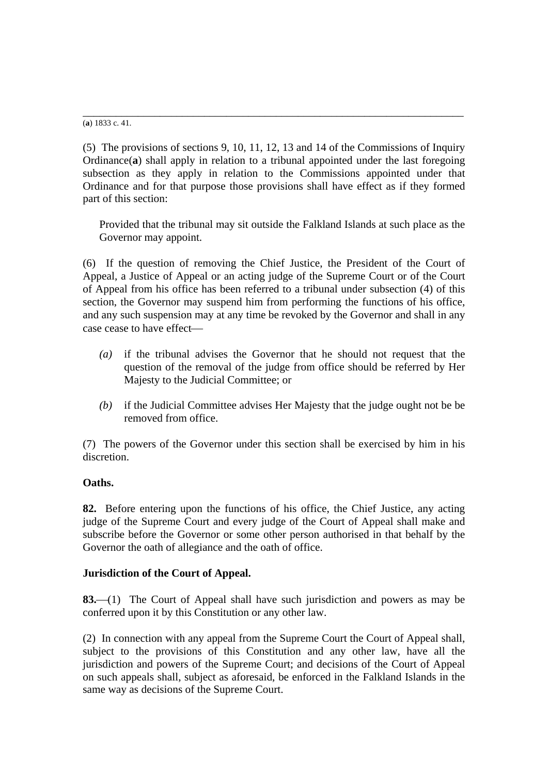(**a**) 1833 c. 41.

(5) The provisions of sections 9, 10, 11, 12, 13 and 14 of the Commissions of Inquiry Ordinance(**a**) shall apply in relation to a tribunal appointed under the last foregoing subsection as they apply in relation to the Commissions appointed under that Ordinance and for that purpose those provisions shall have effect as if they formed part of this section:

\_\_\_\_\_\_\_\_\_\_\_\_\_\_\_\_\_\_\_\_\_\_\_\_\_\_\_\_\_\_\_\_\_\_\_\_\_\_\_\_\_\_\_\_\_\_\_\_\_\_\_\_\_\_\_\_\_\_\_\_\_\_\_\_\_\_\_\_\_

Provided that the tribunal may sit outside the Falkland Islands at such place as the Governor may appoint.

(6) If the question of removing the Chief Justice, the President of the Court of Appeal, a Justice of Appeal or an acting judge of the Supreme Court or of the Court of Appeal from his office has been referred to a tribunal under subsection (4) of this section, the Governor may suspend him from performing the functions of his office, and any such suspension may at any time be revoked by the Governor and shall in any case cease to have effect—

- *(a)* if the tribunal advises the Governor that he should not request that the question of the removal of the judge from office should be referred by Her Majesty to the Judicial Committee; or
- *(b)* if the Judicial Committee advises Her Majesty that the judge ought not be be removed from office.

(7) The powers of the Governor under this section shall be exercised by him in his discretion.

#### **Oaths.**

**82.** Before entering upon the functions of his office, the Chief Justice, any acting judge of the Supreme Court and every judge of the Court of Appeal shall make and subscribe before the Governor or some other person authorised in that behalf by the Governor the oath of allegiance and the oath of office.

#### **Jurisdiction of the Court of Appeal.**

**83.** (1) The Court of Appeal shall have such jurisdiction and powers as may be conferred upon it by this Constitution or any other law.

(2) In connection with any appeal from the Supreme Court the Court of Appeal shall, subject to the provisions of this Constitution and any other law, have all the jurisdiction and powers of the Supreme Court; and decisions of the Court of Appeal on such appeals shall, subject as aforesaid, be enforced in the Falkland Islands in the same way as decisions of the Supreme Court.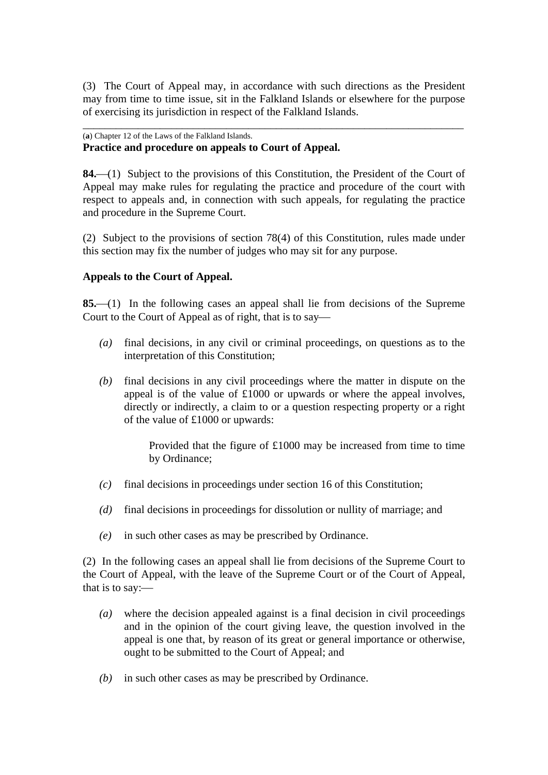(3) The Court of Appeal may, in accordance with such directions as the President may from time to time issue, sit in the Falkland Islands or elsewhere for the purpose of exercising its jurisdiction in respect of the Falkland Islands.

\_\_\_\_\_\_\_\_\_\_\_\_\_\_\_\_\_\_\_\_\_\_\_\_\_\_\_\_\_\_\_\_\_\_\_\_\_\_\_\_\_\_\_\_\_\_\_\_\_\_\_\_\_\_\_\_\_\_\_\_\_\_\_\_\_\_\_\_\_

#### (**a**) Chapter 12 of the Laws of the Falkland Islands. **Practice and procedure on appeals to Court of Appeal.**

**84.** (1) Subject to the provisions of this Constitution, the President of the Court of Appeal may make rules for regulating the practice and procedure of the court with respect to appeals and, in connection with such appeals, for regulating the practice and procedure in the Supreme Court.

(2) Subject to the provisions of section 78(4) of this Constitution, rules made under this section may fix the number of judges who may sit for any purpose.

### **Appeals to the Court of Appeal.**

**85.**⎯(1) In the following cases an appeal shall lie from decisions of the Supreme Court to the Court of Appeal as of right, that is to say—

- *(a)* final decisions, in any civil or criminal proceedings, on questions as to the interpretation of this Constitution;
- *(b)* final decisions in any civil proceedings where the matter in dispute on the appeal is of the value of £1000 or upwards or where the appeal involves, directly or indirectly, a claim to or a question respecting property or a right of the value of £1000 or upwards:

Provided that the figure of £1000 may be increased from time to time by Ordinance;

- *(c)* final decisions in proceedings under section 16 of this Constitution;
- *(d)* final decisions in proceedings for dissolution or nullity of marriage; and
- *(e)* in such other cases as may be prescribed by Ordinance.

(2) In the following cases an appeal shall lie from decisions of the Supreme Court to the Court of Appeal, with the leave of the Supreme Court or of the Court of Appeal, that is to say:—

- *(a)* where the decision appealed against is a final decision in civil proceedings and in the opinion of the court giving leave, the question involved in the appeal is one that, by reason of its great or general importance or otherwise, ought to be submitted to the Court of Appeal; and
- *(b)* in such other cases as may be prescribed by Ordinance.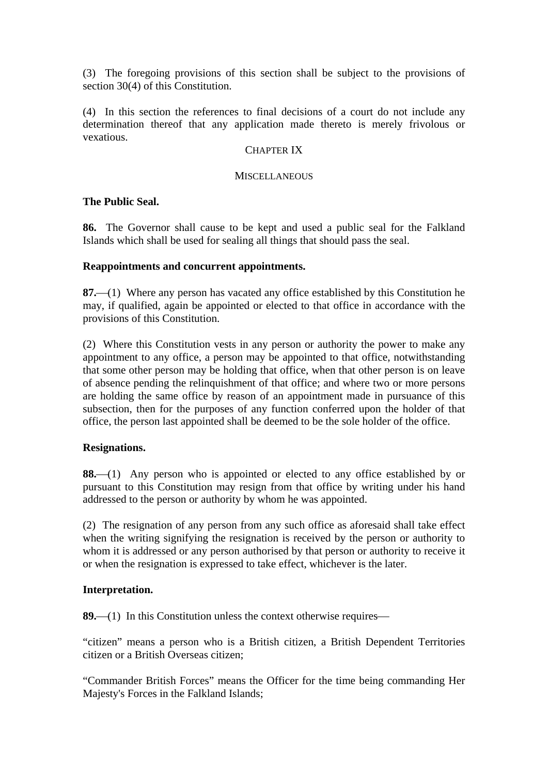(3) The foregoing provisions of this section shall be subject to the provisions of section 30(4) of this Constitution.

(4) In this section the references to final decisions of a court do not include any determination thereof that any application made thereto is merely frivolous or vexatious.

### CHAPTER IX

#### **MISCELLANEOUS**

#### **The Public Seal.**

**86.** The Governor shall cause to be kept and used a public seal for the Falkland Islands which shall be used for sealing all things that should pass the seal.

#### **Reappointments and concurrent appointments.**

**87.**—(1) Where any person has vacated any office established by this Constitution he may, if qualified, again be appointed or elected to that office in accordance with the provisions of this Constitution.

(2) Where this Constitution vests in any person or authority the power to make any appointment to any office, a person may be appointed to that office, notwithstanding that some other person may be holding that office, when that other person is on leave of absence pending the relinquishment of that office; and where two or more persons are holding the same office by reason of an appointment made in pursuance of this subsection, then for the purposes of any function conferred upon the holder of that office, the person last appointed shall be deemed to be the sole holder of the office.

#### **Resignations.**

88.<sup> $(1)$ </sup> Any person who is appointed or elected to any office established by or pursuant to this Constitution may resign from that office by writing under his hand addressed to the person or authority by whom he was appointed.

(2) The resignation of any person from any such office as aforesaid shall take effect when the writing signifying the resignation is received by the person or authority to whom it is addressed or any person authorised by that person or authority to receive it or when the resignation is expressed to take effect, whichever is the later.

#### **Interpretation.**

**89.** $\left(\frac{1}{1}\right)$  In this Constitution unless the context otherwise requires $\left(\frac{1}{1}\right)$ 

"citizen" means a person who is a British citizen, a British Dependent Territories citizen or a British Overseas citizen;

"Commander British Forces" means the Officer for the time being commanding Her Majesty's Forces in the Falkland Islands;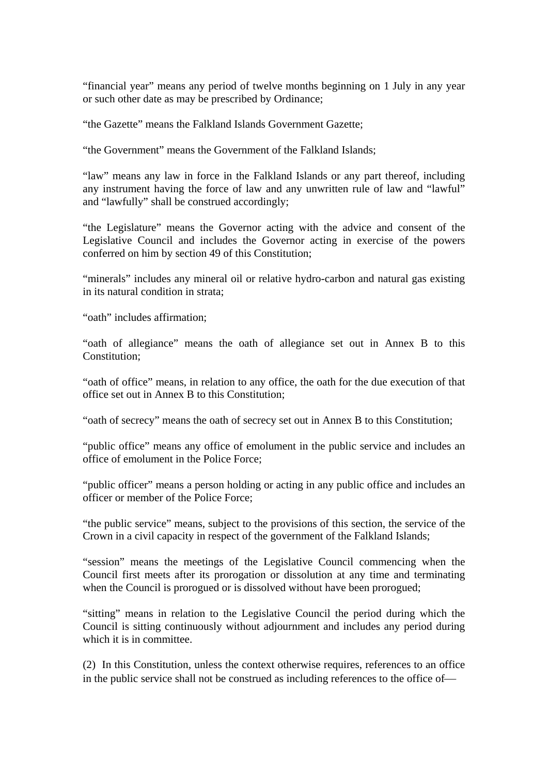"financial year" means any period of twelve months beginning on 1 July in any year or such other date as may be prescribed by Ordinance;

"the Gazette" means the Falkland Islands Government Gazette;

"the Government" means the Government of the Falkland Islands;

"law" means any law in force in the Falkland Islands or any part thereof, including any instrument having the force of law and any unwritten rule of law and "lawful" and "lawfully" shall be construed accordingly;

"the Legislature" means the Governor acting with the advice and consent of the Legislative Council and includes the Governor acting in exercise of the powers conferred on him by section 49 of this Constitution;

"minerals" includes any mineral oil or relative hydro-carbon and natural gas existing in its natural condition in strata;

"oath" includes affirmation;

"oath of allegiance" means the oath of allegiance set out in Annex B to this Constitution;

"oath of office" means, in relation to any office, the oath for the due execution of that office set out in Annex B to this Constitution;

"oath of secrecy" means the oath of secrecy set out in Annex B to this Constitution;

"public office" means any office of emolument in the public service and includes an office of emolument in the Police Force;

"public officer" means a person holding or acting in any public office and includes an officer or member of the Police Force;

"the public service" means, subject to the provisions of this section, the service of the Crown in a civil capacity in respect of the government of the Falkland Islands;

"session" means the meetings of the Legislative Council commencing when the Council first meets after its prorogation or dissolution at any time and terminating when the Council is prorogued or is dissolved without have been prorogued;

"sitting" means in relation to the Legislative Council the period during which the Council is sitting continuously without adjournment and includes any period during which it is in committee.

(2) In this Constitution, unless the context otherwise requires, references to an office in the public service shall not be construed as including references to the office of—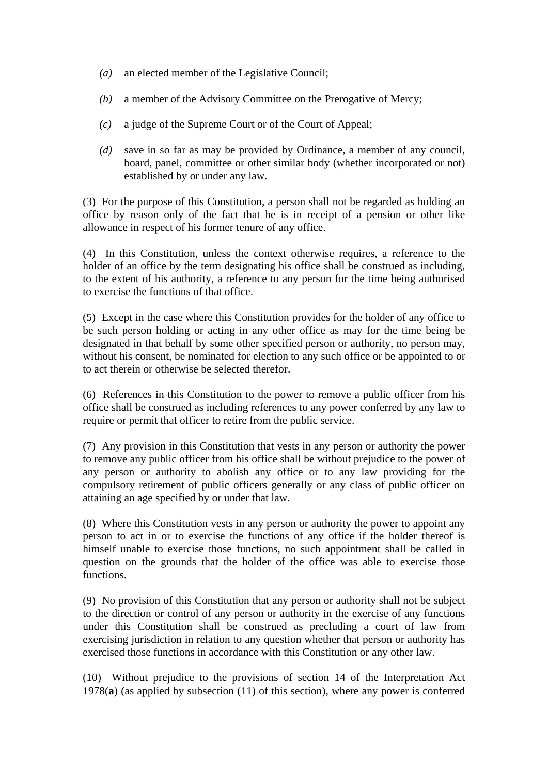- *(a)* an elected member of the Legislative Council;
- *(b)* a member of the Advisory Committee on the Prerogative of Mercy;
- *(c)* a judge of the Supreme Court or of the Court of Appeal;
- *(d)* save in so far as may be provided by Ordinance, a member of any council, board, panel, committee or other similar body (whether incorporated or not) established by or under any law.

(3) For the purpose of this Constitution, a person shall not be regarded as holding an office by reason only of the fact that he is in receipt of a pension or other like allowance in respect of his former tenure of any office.

(4) In this Constitution, unless the context otherwise requires, a reference to the holder of an office by the term designating his office shall be construed as including, to the extent of his authority, a reference to any person for the time being authorised to exercise the functions of that office.

(5) Except in the case where this Constitution provides for the holder of any office to be such person holding or acting in any other office as may for the time being be designated in that behalf by some other specified person or authority, no person may, without his consent, be nominated for election to any such office or be appointed to or to act therein or otherwise be selected therefor.

(6) References in this Constitution to the power to remove a public officer from his office shall be construed as including references to any power conferred by any law to require or permit that officer to retire from the public service.

(7) Any provision in this Constitution that vests in any person or authority the power to remove any public officer from his office shall be without prejudice to the power of any person or authority to abolish any office or to any law providing for the compulsory retirement of public officers generally or any class of public officer on attaining an age specified by or under that law.

(8) Where this Constitution vests in any person or authority the power to appoint any person to act in or to exercise the functions of any office if the holder thereof is himself unable to exercise those functions, no such appointment shall be called in question on the grounds that the holder of the office was able to exercise those functions.

(9) No provision of this Constitution that any person or authority shall not be subject to the direction or control of any person or authority in the exercise of any functions under this Constitution shall be construed as precluding a court of law from exercising jurisdiction in relation to any question whether that person or authority has exercised those functions in accordance with this Constitution or any other law.

(10) Without prejudice to the provisions of section 14 of the Interpretation Act 1978(**a**) (as applied by subsection (11) of this section), where any power is conferred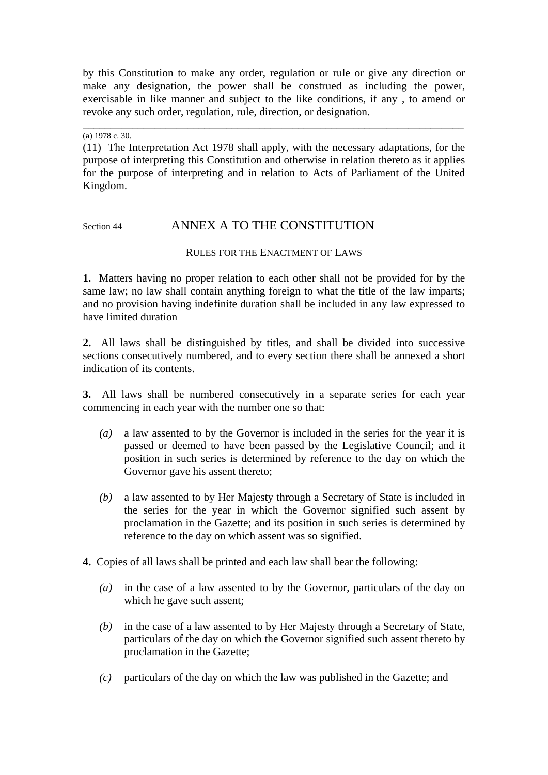by this Constitution to make any order, regulation or rule or give any direction or make any designation, the power shall be construed as including the power, exercisable in like manner and subject to the like conditions, if any , to amend or revoke any such order, regulation, rule, direction, or designation.

\_\_\_\_\_\_\_\_\_\_\_\_\_\_\_\_\_\_\_\_\_\_\_\_\_\_\_\_\_\_\_\_\_\_\_\_\_\_\_\_\_\_\_\_\_\_\_\_\_\_\_\_\_\_\_\_\_\_\_\_\_\_\_\_\_\_\_\_\_

(**a**) 1978 c. 30.

(11) The Interpretation Act 1978 shall apply, with the necessary adaptations, for the purpose of interpreting this Constitution and otherwise in relation thereto as it applies for the purpose of interpreting and in relation to Acts of Parliament of the United Kingdom.

## Section 44 ANNEX A TO THE CONSTITUTION

### RULES FOR THE ENACTMENT OF LAWS

**1.** Matters having no proper relation to each other shall not be provided for by the same law; no law shall contain anything foreign to what the title of the law imparts; and no provision having indefinite duration shall be included in any law expressed to have limited duration

**2.** All laws shall be distinguished by titles, and shall be divided into successive sections consecutively numbered, and to every section there shall be annexed a short indication of its contents.

**3.** All laws shall be numbered consecutively in a separate series for each year commencing in each year with the number one so that:

- *(a)* a law assented to by the Governor is included in the series for the year it is passed or deemed to have been passed by the Legislative Council; and it position in such series is determined by reference to the day on which the Governor gave his assent thereto;
- *(b)* a law assented to by Her Majesty through a Secretary of State is included in the series for the year in which the Governor signified such assent by proclamation in the Gazette; and its position in such series is determined by reference to the day on which assent was so signified.
- **4.** Copies of all laws shall be printed and each law shall bear the following:
	- *(a)* in the case of a law assented to by the Governor, particulars of the day on which he gave such assent;
	- *(b)* in the case of a law assented to by Her Majesty through a Secretary of State, particulars of the day on which the Governor signified such assent thereto by proclamation in the Gazette;
	- *(c)* particulars of the day on which the law was published in the Gazette; and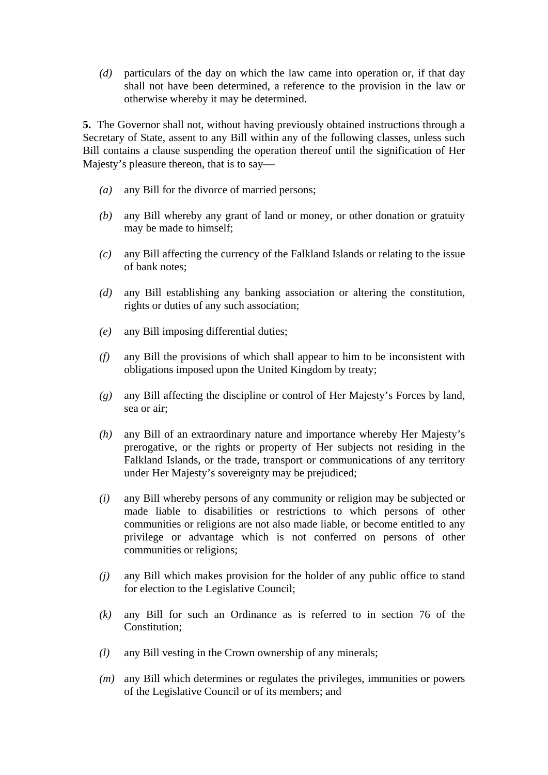*(d)* particulars of the day on which the law came into operation or, if that day shall not have been determined, a reference to the provision in the law or otherwise whereby it may be determined.

**5.** The Governor shall not, without having previously obtained instructions through a Secretary of State, assent to any Bill within any of the following classes, unless such Bill contains a clause suspending the operation thereof until the signification of Her Majesty's pleasure thereon, that is to say—

- *(a)* any Bill for the divorce of married persons;
- *(b)* any Bill whereby any grant of land or money, or other donation or gratuity may be made to himself;
- *(c)* any Bill affecting the currency of the Falkland Islands or relating to the issue of bank notes;
- *(d)* any Bill establishing any banking association or altering the constitution, rights or duties of any such association;
- *(e)* any Bill imposing differential duties;
- *(f)* any Bill the provisions of which shall appear to him to be inconsistent with obligations imposed upon the United Kingdom by treaty;
- *(g)* any Bill affecting the discipline or control of Her Majesty's Forces by land, sea or air;
- *(h)* any Bill of an extraordinary nature and importance whereby Her Majesty's prerogative, or the rights or property of Her subjects not residing in the Falkland Islands, or the trade, transport or communications of any territory under Her Majesty's sovereignty may be prejudiced;
- *(i)* any Bill whereby persons of any community or religion may be subjected or made liable to disabilities or restrictions to which persons of other communities or religions are not also made liable, or become entitled to any privilege or advantage which is not conferred on persons of other communities or religions;
- *(j)* any Bill which makes provision for the holder of any public office to stand for election to the Legislative Council;
- *(k)* any Bill for such an Ordinance as is referred to in section 76 of the Constitution;
- *(l)* any Bill vesting in the Crown ownership of any minerals;
- *(m)* any Bill which determines or regulates the privileges, immunities or powers of the Legislative Council or of its members; and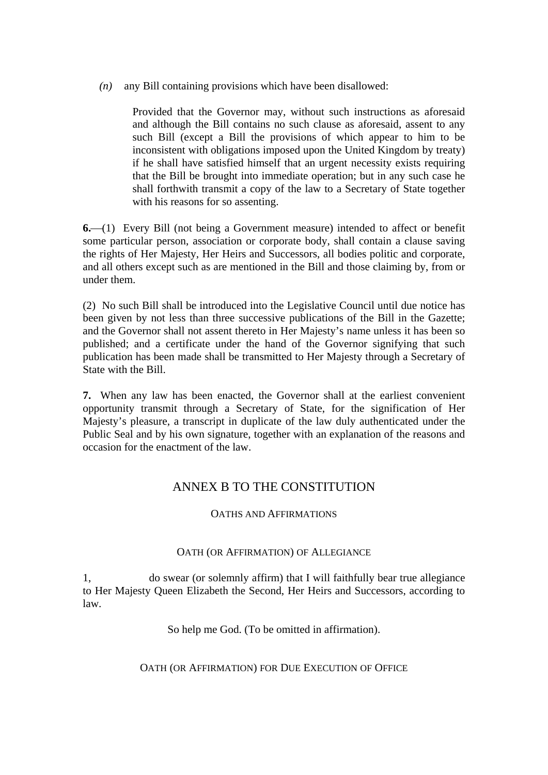*(n)* any Bill containing provisions which have been disallowed:

Provided that the Governor may, without such instructions as aforesaid and although the Bill contains no such clause as aforesaid, assent to any such Bill (except a Bill the provisions of which appear to him to be inconsistent with obligations imposed upon the United Kingdom by treaty) if he shall have satisfied himself that an urgent necessity exists requiring that the Bill be brought into immediate operation; but in any such case he shall forthwith transmit a copy of the law to a Secretary of State together with his reasons for so assenting.

**6.** (1) Every Bill (not being a Government measure) intended to affect or benefit some particular person, association or corporate body, shall contain a clause saving the rights of Her Majesty, Her Heirs and Successors, all bodies politic and corporate, and all others except such as are mentioned in the Bill and those claiming by, from or under them.

(2) No such Bill shall be introduced into the Legislative Council until due notice has been given by not less than three successive publications of the Bill in the Gazette; and the Governor shall not assent thereto in Her Majesty's name unless it has been so published; and a certificate under the hand of the Governor signifying that such publication has been made shall be transmitted to Her Majesty through a Secretary of State with the Bill.

**7.** When any law has been enacted, the Governor shall at the earliest convenient opportunity transmit through a Secretary of State, for the signification of Her Majesty's pleasure, a transcript in duplicate of the law duly authenticated under the Public Seal and by his own signature, together with an explanation of the reasons and occasion for the enactment of the law.

# ANNEX B TO THE CONSTITUTION

## OATHS AND AFFIRMATIONS

## OATH (OR AFFIRMATION) OF ALLEGIANCE

1, do swear (or solemnly affirm) that I will faithfully bear true allegiance to Her Majesty Queen Elizabeth the Second, Her Heirs and Successors, according to law.

So help me God. (To be omitted in affirmation).

### OATH (OR AFFIRMATION) FOR DUE EXECUTION OF OFFICE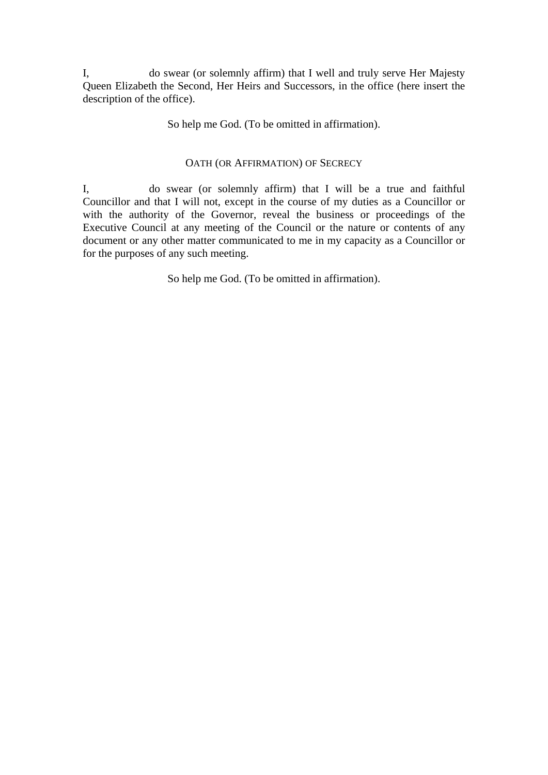I, do swear (or solemnly affirm) that I well and truly serve Her Majesty Queen Elizabeth the Second, Her Heirs and Successors, in the office (here insert the description of the office).

So help me God. (To be omitted in affirmation).

#### OATH (OR AFFIRMATION) OF SECRECY

I, do swear (or solemnly affirm) that I will be a true and faithful Councillor and that I will not, except in the course of my duties as a Councillor or with the authority of the Governor, reveal the business or proceedings of the Executive Council at any meeting of the Council or the nature or contents of any document or any other matter communicated to me in my capacity as a Councillor or for the purposes of any such meeting.

So help me God. (To be omitted in affirmation).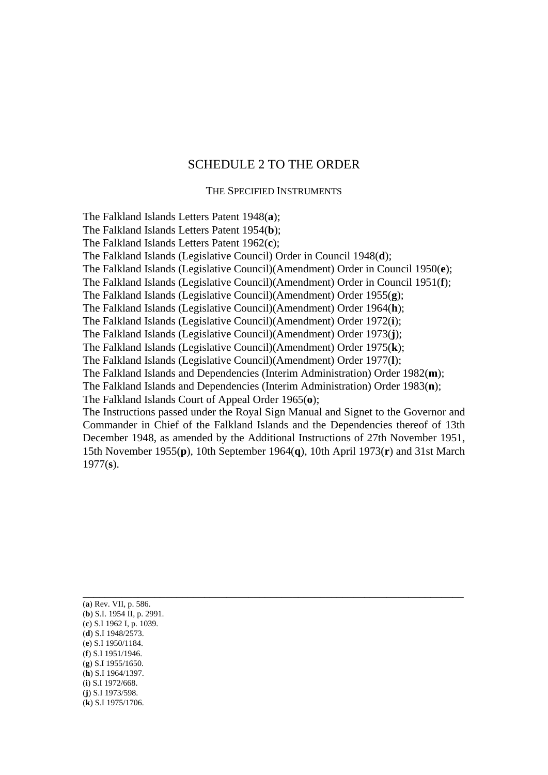### SCHEDULE 2 TO THE ORDER

#### THE SPECIFIED INSTRUMENTS

The Falkland Islands Letters Patent 1948(**a**);

The Falkland Islands Letters Patent 1954(**b**);

The Falkland Islands Letters Patent 1962(**c**);

The Falkland Islands (Legislative Council) Order in Council 1948(**d**);

The Falkland Islands (Legislative Council)(Amendment) Order in Council 1950(**e**);

The Falkland Islands (Legislative Council)(Amendment) Order in Council 1951(**f**);

The Falkland Islands (Legislative Council)(Amendment) Order 1955(**g**);

The Falkland Islands (Legislative Council)(Amendment) Order 1964(**h**);

The Falkland Islands (Legislative Council)(Amendment) Order 1972(**i**);

The Falkland Islands (Legislative Council)(Amendment) Order 1973(**j**);

The Falkland Islands (Legislative Council)(Amendment) Order 1975(**k**);

The Falkland Islands (Legislative Council)(Amendment) Order 1977(**l**);

The Falkland Islands and Dependencies (Interim Administration) Order 1982(**m**);

The Falkland Islands and Dependencies (Interim Administration) Order 1983(**n**);

The Falkland Islands Court of Appeal Order 1965(**o**);

The Instructions passed under the Royal Sign Manual and Signet to the Governor and Commander in Chief of the Falkland Islands and the Dependencies thereof of 13th December 1948, as amended by the Additional Instructions of 27th November 1951, 15th November 1955(**p**), 10th September 1964(**q**), 10th April 1973(**r**) and 31st March 1977(**s**).

\_\_\_\_\_\_\_\_\_\_\_\_\_\_\_\_\_\_\_\_\_\_\_\_\_\_\_\_\_\_\_\_\_\_\_\_\_\_\_\_\_\_\_\_\_\_\_\_\_\_\_\_\_\_\_\_\_\_\_\_\_\_\_\_\_\_\_\_\_

(**a**) Rev. VII, p. 586. (**b**) S.I. 1954 II, p. 2991. (**c**) S.I 1962 I, p. 1039. (**d**) S.I 1948/2573. (**e**) S.I 1950/1184. (**f**) S.I 1951/1946. (**g**) S.I 1955/1650. (**h**) S.I 1964/1397. (**i**) S.I 1972/668. (**j**) S.I 1973/598. (**k**) S.I 1975/1706.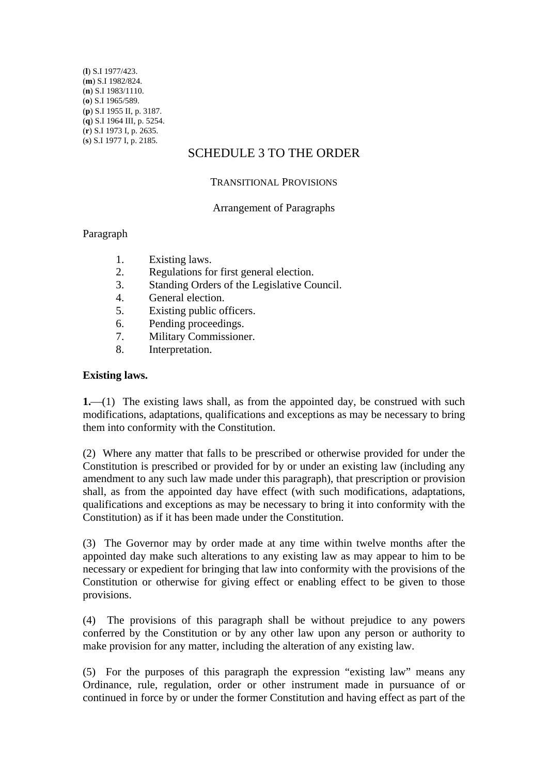(**l**) S.I 1977/423. (**m**) S.I 1982/824. (**n**) S.I 1983/1110. (**o**) S.I 1965/589. (**p**) S.I 1955 II, p. 3187. (**q**) S.I 1964 III, p. 5254. (**r**) S.I 1973 I, p. 2635. (**s**) S.I 1977 I, p. 2185.

# SCHEDULE 3 TO THE ORDER

### TRANSITIONAL PROVISIONS

### Arrangement of Paragraphs

#### Paragraph

- 1. Existing laws.
- 2. Regulations for first general election.
- 3. Standing Orders of the Legislative Council.
- 4. General election.
- 5. Existing public officers.
- 6. Pending proceedings.
- 7. Military Commissioner.
- 8. Interpretation.

#### **Existing laws.**

**1.** (1) The existing laws shall, as from the appointed day, be construed with such modifications, adaptations, qualifications and exceptions as may be necessary to bring them into conformity with the Constitution.

(2) Where any matter that falls to be prescribed or otherwise provided for under the Constitution is prescribed or provided for by or under an existing law (including any amendment to any such law made under this paragraph), that prescription or provision shall, as from the appointed day have effect (with such modifications, adaptations, qualifications and exceptions as may be necessary to bring it into conformity with the Constitution) as if it has been made under the Constitution.

(3) The Governor may by order made at any time within twelve months after the appointed day make such alterations to any existing law as may appear to him to be necessary or expedient for bringing that law into conformity with the provisions of the Constitution or otherwise for giving effect or enabling effect to be given to those provisions.

(4) The provisions of this paragraph shall be without prejudice to any powers conferred by the Constitution or by any other law upon any person or authority to make provision for any matter, including the alteration of any existing law.

(5) For the purposes of this paragraph the expression "existing law" means any Ordinance, rule, regulation, order or other instrument made in pursuance of or continued in force by or under the former Constitution and having effect as part of the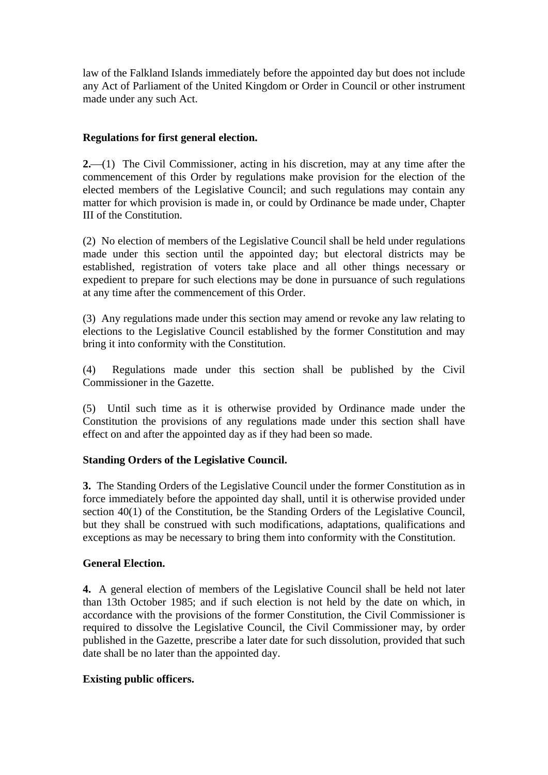law of the Falkland Islands immediately before the appointed day but does not include any Act of Parliament of the United Kingdom or Order in Council or other instrument made under any such Act.

### **Regulations for first general election.**

**2.**<sup>(1)</sup> The Civil Commissioner, acting in his discretion, may at any time after the commencement of this Order by regulations make provision for the election of the elected members of the Legislative Council; and such regulations may contain any matter for which provision is made in, or could by Ordinance be made under, Chapter III of the Constitution.

(2) No election of members of the Legislative Council shall be held under regulations made under this section until the appointed day; but electoral districts may be established, registration of voters take place and all other things necessary or expedient to prepare for such elections may be done in pursuance of such regulations at any time after the commencement of this Order.

(3) Any regulations made under this section may amend or revoke any law relating to elections to the Legislative Council established by the former Constitution and may bring it into conformity with the Constitution.

(4) Regulations made under this section shall be published by the Civil Commissioner in the Gazette.

(5) Until such time as it is otherwise provided by Ordinance made under the Constitution the provisions of any regulations made under this section shall have effect on and after the appointed day as if they had been so made.

## **Standing Orders of the Legislative Council.**

**3.** The Standing Orders of the Legislative Council under the former Constitution as in force immediately before the appointed day shall, until it is otherwise provided under section 40(1) of the Constitution, be the Standing Orders of the Legislative Council, but they shall be construed with such modifications, adaptations, qualifications and exceptions as may be necessary to bring them into conformity with the Constitution.

#### **General Election.**

**4.** A general election of members of the Legislative Council shall be held not later than 13th October 1985; and if such election is not held by the date on which, in accordance with the provisions of the former Constitution, the Civil Commissioner is required to dissolve the Legislative Council, the Civil Commissioner may, by order published in the Gazette, prescribe a later date for such dissolution, provided that such date shall be no later than the appointed day.

#### **Existing public officers.**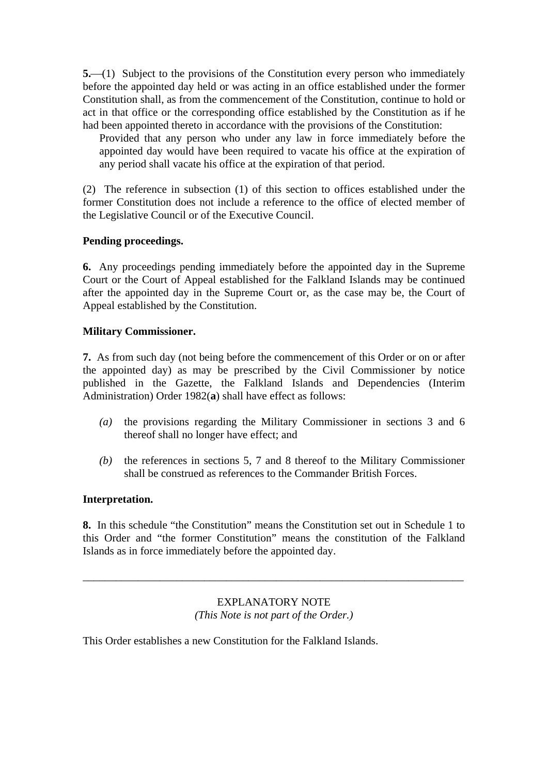**5.**<sup> $-(1)$ </sup> Subject to the provisions of the Constitution every person who immediately before the appointed day held or was acting in an office established under the former Constitution shall, as from the commencement of the Constitution, continue to hold or act in that office or the corresponding office established by the Constitution as if he had been appointed thereto in accordance with the provisions of the Constitution:

Provided that any person who under any law in force immediately before the appointed day would have been required to vacate his office at the expiration of any period shall vacate his office at the expiration of that period.

(2) The reference in subsection (1) of this section to offices established under the former Constitution does not include a reference to the office of elected member of the Legislative Council or of the Executive Council.

### **Pending proceedings.**

**6.** Any proceedings pending immediately before the appointed day in the Supreme Court or the Court of Appeal established for the Falkland Islands may be continued after the appointed day in the Supreme Court or, as the case may be, the Court of Appeal established by the Constitution.

#### **Military Commissioner.**

**7.** As from such day (not being before the commencement of this Order or on or after the appointed day) as may be prescribed by the Civil Commissioner by notice published in the Gazette, the Falkland Islands and Dependencies (Interim Administration) Order 1982(**a**) shall have effect as follows:

- *(a)* the provisions regarding the Military Commissioner in sections 3 and 6 thereof shall no longer have effect; and
- *(b)* the references in sections 5, 7 and 8 thereof to the Military Commissioner shall be construed as references to the Commander British Forces.

#### **Interpretation.**

**8.** In this schedule "the Constitution" means the Constitution set out in Schedule 1 to this Order and "the former Constitution" means the constitution of the Falkland Islands as in force immediately before the appointed day.

> EXPLANATORY NOTE *(This Note is not part of the Order.)*

\_\_\_\_\_\_\_\_\_\_\_\_\_\_\_\_\_\_\_\_\_\_\_\_\_\_\_\_\_\_\_\_\_\_\_\_\_\_\_\_\_\_\_\_\_\_\_\_\_\_\_\_\_\_\_\_\_\_\_\_\_\_\_\_\_\_\_\_\_

This Order establishes a new Constitution for the Falkland Islands.